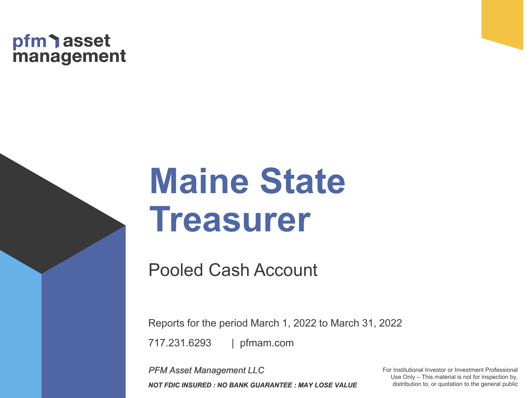# pfm asset<br>management

# **Maine State Treasurer**

Pooled Cash Account

Reports for the period March 1, 2022 to March 31, 2022

| pfmam.com 717.231.6293

*PFM Asset Management LLC NOT FDIC INSURED : NO BANK GUARANTEE : MAY LOSE VALUE* For Institutional Investor or Investment Professional Use Only – This material is not for inspection by, distribution to, or quotation to the general public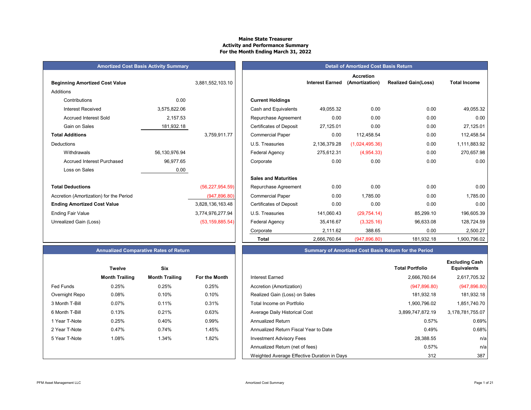# **Maine State Treasurer Activity and Performance Summary For the Month Ending March 31, 2022**

|                                         | <b>Amortized Cost Basis Activity Summary</b> |                   |                                | Detail o               |
|-----------------------------------------|----------------------------------------------|-------------------|--------------------------------|------------------------|
| <b>Beginning Amortized Cost Value</b>   |                                              | 3,881,552,103.10  |                                | <b>Interest Earned</b> |
| Additions                               |                                              |                   |                                |                        |
| Contributions                           | 0.00                                         |                   | <b>Current Holdings</b>        |                        |
| <b>Interest Received</b>                | 3,575,822.06                                 |                   | Cash and Equivalents           | 49,055.32              |
| <b>Accrued Interest Sold</b>            | 2,157.53                                     |                   | Repurchase Agreement           | 0.00                   |
| Gain on Sales                           | 181,932.18                                   |                   | <b>Certificates of Deposit</b> | 27,125.01              |
| <b>Total Additions</b>                  |                                              | 3,759,911.77      | <b>Commercial Paper</b>        | 0.00                   |
| Deductions                              |                                              |                   | U.S. Treasuries                | 2,136,379.28           |
| Withdrawals                             | 56,130,976.94                                |                   | Federal Agency                 | 275,612.31             |
| <b>Accrued Interest Purchased</b>       | 96,977.65                                    |                   | Corporate                      | 0.00                   |
| Loss on Sales                           | 0.00                                         |                   |                                |                        |
|                                         |                                              |                   | <b>Sales and Maturities</b>    |                        |
| <b>Total Deductions</b>                 |                                              | (56, 227, 954.59) | Repurchase Agreement           | 0.00                   |
| Accretion (Amortization) for the Period |                                              | (947, 896.80)     | <b>Commercial Paper</b>        | 0.00                   |
| <b>Ending Amortized Cost Value</b>      |                                              | 3,828,136,163.48  | <b>Certificates of Deposit</b> | 0.00                   |
| <b>Ending Fair Value</b>                |                                              | 3,774,976,277.94  | U.S. Treasuries                | 141,060.43             |
| Unrealized Gain (Loss)                  |                                              | (53, 159, 885.54) | Federal Agency                 | 35,416.67              |

|                | <b>Twelve</b>         | <b>Six</b>            |               |
|----------------|-----------------------|-----------------------|---------------|
|                | <b>Month Trailing</b> | <b>Month Trailing</b> | For the Month |
| Fed Funds      | 0.25%                 | 0.25%                 | 0.25%         |
| Overnight Repo | 0.08%                 | 0.10%                 | 0.10%         |
| 3 Month T-Bill | 0.07%                 | 0.11%                 | 0.31%         |
| 6 Month T-Bill | 0.13%                 | 0.21%                 | 0.63%         |
| 1 Year T-Note  | 0.25%                 | 0.40%                 | 0.99%         |
| 2 Year T-Note  | 0.47%                 | 0.74%                 | 1.45%         |
| 5 Year T-Note  | 1.08%                 | 1.34%                 | 1.82%         |
|                |                       |                       |               |
|                |                       |                       |               |

|                                         | <b>Amortized Cost Basis Activity Summary</b> |                   |                                | <b>Detail of Amortized Cost Basis Return</b> |                                    |                            |                     |  |  |
|-----------------------------------------|----------------------------------------------|-------------------|--------------------------------|----------------------------------------------|------------------------------------|----------------------------|---------------------|--|--|
| <b>Beginning Amortized Cost Value</b>   |                                              | 3,881,552,103.10  |                                | <b>Interest Earned</b>                       | <b>Accretion</b><br>(Amortization) | <b>Realized Gain(Loss)</b> | <b>Total Income</b> |  |  |
| Additions                               |                                              |                   |                                |                                              |                                    |                            |                     |  |  |
| Contributions                           | 0.00                                         |                   | <b>Current Holdings</b>        |                                              |                                    |                            |                     |  |  |
| <b>Interest Received</b>                | 3,575,822.06                                 |                   | Cash and Equivalents           | 49,055.32                                    | 0.00                               | 0.00                       | 49,055.32           |  |  |
| <b>Accrued Interest Sold</b>            | 2,157.53                                     |                   | Repurchase Agreement           | 0.00                                         | 0.00                               | 0.00                       | 0.00                |  |  |
| Gain on Sales                           | 181,932.18                                   |                   | <b>Certificates of Deposit</b> | 27,125.01                                    | 0.00                               | 0.00                       | 27,125.01           |  |  |
| <b>Total Additions</b>                  |                                              | 3,759,911.77      | <b>Commercial Paper</b>        | 0.00                                         | 112,458.54                         | 0.00                       | 112,458.54          |  |  |
| Deductions                              |                                              |                   | U.S. Treasuries                | 2,136,379.28                                 | (1,024,495.36)                     | 0.00                       | 1,111,883.92        |  |  |
| Withdrawals                             | 56,130,976.94                                |                   | <b>Federal Agency</b>          | 275,612.31                                   | (4,954.33)                         | 0.00                       | 270,657.98          |  |  |
| <b>Accrued Interest Purchased</b>       | 96,977.65                                    |                   | Corporate                      | 0.00                                         | 0.00                               | 0.00                       | 0.00                |  |  |
| Loss on Sales                           | 0.00                                         |                   |                                |                                              |                                    |                            |                     |  |  |
|                                         |                                              |                   | <b>Sales and Maturities</b>    |                                              |                                    |                            |                     |  |  |
| <b>Total Deductions</b>                 |                                              | (56, 227, 954.59) | Repurchase Agreement           | 0.00                                         | 0.00                               | 0.00                       | 0.00                |  |  |
| Accretion (Amortization) for the Period |                                              | (947, 896.80)     | <b>Commercial Paper</b>        | 0.00                                         | 1,785.00                           | 0.00                       | 1,785.00            |  |  |
| <b>Ending Amortized Cost Value</b>      |                                              | 3,828,136,163.48  | <b>Certificates of Deposit</b> | 0.00                                         | 0.00                               | 0.00                       | 0.00                |  |  |
| Ending Fair Value                       |                                              | 3,774,976,277.94  | U.S. Treasuries                | 141,060.43                                   | (29, 754.14)                       | 85,299.10                  | 196,605.39          |  |  |
| Unrealized Gain (Loss)                  |                                              | (53, 159, 885.54) | <b>Federal Agency</b>          | 35,416.67                                    | (3,325.16)                         | 96,633.08                  | 128,724.59          |  |  |
|                                         |                                              |                   | Corporate                      | 2,111.62                                     | 388.65                             | 0.00                       | 2,500.27            |  |  |
|                                         |                                              |                   | <b>Total</b>                   | 2,666,760.64                                 | (947, 896.80)                      | 181,932.18                 | 1,900,796.02        |  |  |

# **Annualized Comparative Rates of Return Summary of Amortized Cost Basis Return for the Period**

|                  | <b>Twelve</b>         | <b>Six</b>            |               |                                             | <b>Total Portfolio</b> |
|------------------|-----------------------|-----------------------|---------------|---------------------------------------------|------------------------|
|                  | <b>Month Trailing</b> | <b>Month Trailing</b> | For the Month | <b>Interest Earned</b>                      | 2,666,760.64           |
| <b>Fed Funds</b> | 0.25%                 | 0.25%                 | 0.25%         | Accretion (Amortization)                    | (947, 896.80)          |
| Overnight Repo   | 0.08%                 | 0.10%                 | 0.10%         | Realized Gain (Loss) on Sales               | 181,932.18             |
| 3 Month T-Bill   | 0.07%                 | 0.11%                 | 0.31%         | Total Income on Portfolio                   | 1,900,796.02           |
| 6 Month T-Bill   | 0.13%                 | 0.21%                 | 0.63%         | Average Daily Historical Cost               | 3,899,747,872.19       |
| 1 Year T-Note    | 0.25%                 | 0.40%                 | 0.99%         | Annualized Return                           | 0.57%                  |
| 2 Year T-Note    | 0.47%                 | 0.74%                 | 1.45%         | Annualized Return Fiscal Year to Date       | 0.49%                  |
| 5 Year T-Note    | 1.08%                 | 1.34%                 | 1.82%         | <b>Investment Advisory Fees</b>             | 28,388.55              |
|                  |                       |                       |               | Annualized Return (net of fees)             | 0.57%                  |
|                  |                       |                       |               | Weighted Average Effective Duration in Days | 312                    |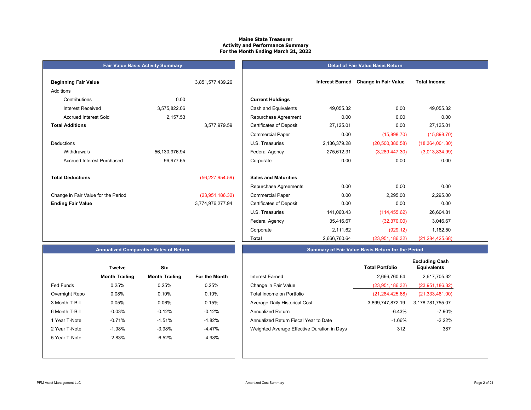# **Maine State Treasurer Activity and Performance Summary For the Month Ending March 31, 2022**

|                                     | <b>Fair Value Basis Activity Summary</b> |                   |                                                   |
|-------------------------------------|------------------------------------------|-------------------|---------------------------------------------------|
| <b>Beginning Fair Value</b>         |                                          | 3,851,577,439.26  |                                                   |
| Additions                           |                                          |                   |                                                   |
| Contributions                       | 0.00                                     |                   | <b>Current Holdings</b>                           |
| Interest Received                   | 3,575,822.06                             |                   | Cash and Equivalents                              |
| <b>Accrued Interest Sold</b>        | 2,157.53                                 |                   | Repurchase Agreeme                                |
| <b>Total Additions</b>              |                                          | 3,577,979.59      | <b>Certificates of Deposit</b>                    |
|                                     |                                          |                   | <b>Commercial Paper</b>                           |
| Deductions                          |                                          |                   | U.S. Treasuries                                   |
| Withdrawals                         | 56,130,976.94                            |                   | Federal Agency                                    |
| <b>Accrued Interest Purchased</b>   | 96,977.65                                |                   | Corporate                                         |
| <b>Total Deductions</b>             |                                          | (56, 227, 954.59) | <b>Sales and Maturities</b>                       |
|                                     |                                          |                   | Repurchase Agreeme                                |
| Change in Fair Value for the Period |                                          | (23,951,186.32)   | <b>Commercial Paper</b>                           |
| <b>Ending Fair Value</b>            |                                          | 3,774,976,277.94  | <b>Certificates of Deposit</b>                    |
|                                     |                                          |                   | $\mathsf{H} \circ \mathsf{T}_{\mathsf{reaction}}$ |

# **Detail of Fair Value Basis Return**

| Beginning Fair Value                |               | 3,851,577,439.26  |                                | <b>Interest Earned</b> | <b>Change in Fair Value</b> | <b>Total Income</b> |
|-------------------------------------|---------------|-------------------|--------------------------------|------------------------|-----------------------------|---------------------|
| Additions                           |               |                   |                                |                        |                             |                     |
| Contributions                       | 0.00          |                   | <b>Current Holdings</b>        |                        |                             |                     |
| <b>Interest Received</b>            | 3,575,822.06  |                   | Cash and Equivalents           | 49,055.32              | 0.00                        | 49,055.32           |
| <b>Accrued Interest Sold</b>        | 2,157.53      |                   | Repurchase Agreement           | 0.00                   | 0.00                        | 0.00                |
| <b>Total Additions</b>              |               | 3,577,979.59      | <b>Certificates of Deposit</b> | 27,125.01              | 0.00                        | 27,125.01           |
|                                     |               |                   | <b>Commercial Paper</b>        | 0.00                   | (15,898.70)                 | (15,898.70)         |
| Deductions                          |               |                   | U.S. Treasuries                | 2,136,379.28           | (20, 500, 380.58)           | (18, 364, 001.30)   |
| Withdrawals                         | 56,130,976.94 |                   | Federal Agency                 | 275,612.31             | (3,289,447.30)              | (3,013,834.99)      |
| Accrued Interest Purchased          | 96,977.65     |                   | Corporate                      | 0.00                   | 0.00                        | 0.00                |
| <b>Total Deductions</b>             |               | (56, 227, 954.59) | <b>Sales and Maturities</b>    |                        |                             |                     |
|                                     |               |                   | Repurchase Agreements          | 0.00                   | 0.00                        | 0.00                |
| Change in Fair Value for the Period |               | (23,951,186.32)   | <b>Commercial Paper</b>        | 0.00                   | 2,295.00                    | 2,295.00            |
| <b>Ending Fair Value</b>            |               | 3,774,976,277.94  | <b>Certificates of Deposit</b> | 0.00                   | 0.00                        | 0.00                |
|                                     |               |                   | U.S. Treasuries                | 141,060.43             | (114, 455.62)               | 26,604.81           |
|                                     |               |                   | Federal Agency                 | 35,416.67              | (32, 370.00)                | 3,046.67            |
|                                     |               |                   | Corporate                      | 2,111.62               | (929.12)                    | 1,182.50            |
|                                     |               |                   | Total                          | 2,666,760.64           | (23,951,186.32)             | (21, 284, 425.68)   |

# **Annualized Comparative Rates of Return**

|                  | <b>Twelve</b>         | Six                   |                      |
|------------------|-----------------------|-----------------------|----------------------|
|                  | <b>Month Trailing</b> | <b>Month Trailing</b> | <b>For the Month</b> |
| <b>Fed Funds</b> | 0.25%                 | 0.25%                 | 0.25%                |
| Overnight Repo   | 0.08%                 | 0.10%                 | 0.10%                |
| 3 Month T-Bill   | 0.05%                 | 0.06%                 | 0.15%                |
| 6 Month T-Bill   | $-0.03%$              | $-0.12%$              | $-0.12%$             |
| 1 Year T-Note    | $-0.71%$              | $-1.51%$              | $-1.82%$             |
| 2 Year T-Note    | $-1.98%$              | $-3.98%$              | $-4.47%$             |
| 5 Year T-Note    | $-2.83%$              | $-6.52%$              | $-4.98%$             |
|                  |                       |                       |                      |
|                  |                       |                       |                      |

# **Summary of Fair Value Basis Return for the Period**

|                  | <b>Twelve</b>         | Six                   |               |                                             | <b>Total Portfolio</b> | <b>Excluding Cash</b><br><b>Equivalents</b> |
|------------------|-----------------------|-----------------------|---------------|---------------------------------------------|------------------------|---------------------------------------------|
|                  | <b>Month Trailing</b> | <b>Month Trailing</b> | For the Month | <b>Interest Earned</b>                      | 2,666,760.64           | 2,617,705.32                                |
| <b>Fed Funds</b> | 0.25%                 | 0.25%                 | 0.25%         | Change in Fair Value                        | (23,951,186.32)        | (23,951,186.32)                             |
| Overnight Repo   | 0.08%                 | 0.10%                 | 0.10%         | Total Income on Portfolio                   | (21, 284, 425.68)      | (21, 333, 481.00)                           |
| 3 Month T-Bill   | 0.05%                 | 0.06%                 | 0.15%         | Average Daily Historical Cost               | 3,899,747,872.19       | 3,178,781,755.07                            |
| 6 Month T-Bill   | $-0.03%$              | $-0.12%$              | $-0.12%$      | <b>Annualized Return</b>                    | -6.43%                 | -7.90%                                      |
| 1 Year T-Note    | $-0.71%$              | $-1.51%$              | $-1.82%$      | Annualized Return Fiscal Year to Date       | $-1.66%$               | $-2.22%$                                    |
| 2 Year T-Note    | $-1.98%$              | $-3.98%$              | -4.47%        | Weighted Average Effective Duration in Days | 312                    | 387                                         |
| 5 Year T-Note    | $-2.83%$              | $-6.52%$              | -4.98%        |                                             |                        |                                             |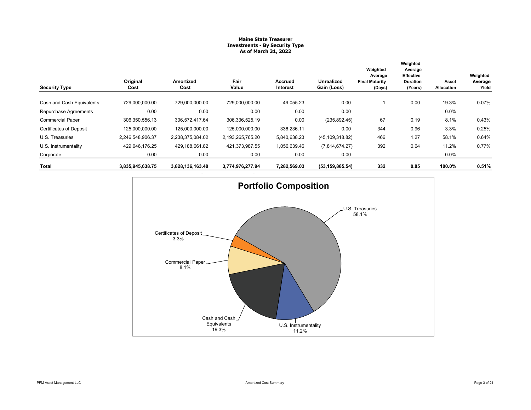# **Maine State Treasurer Investments - By Security Type As of March 31, 2022**

| <b>Security Type</b>           | Original<br>Cost | Amortized<br>Cost | Fair<br>Value    | <b>Accrued</b><br>Interest | <b>Unrealized</b><br>Gain (Loss) | Weighted<br>Average<br><b>Final Maturity</b><br>(Days) | Weighted<br>Average<br><b>Effective</b><br><b>Duration</b><br>(Years) | Asset<br>Allocation | Weighted<br>Average<br>Yield |
|--------------------------------|------------------|-------------------|------------------|----------------------------|----------------------------------|--------------------------------------------------------|-----------------------------------------------------------------------|---------------------|------------------------------|
| Cash and Cash Equivalents      | 729,000,000.00   | 729,000,000.00    | 729,000,000.00   | 49,055.23                  | 0.00                             |                                                        | 0.00                                                                  | 19.3%               | 0.07%                        |
| Repurchase Agreements          | 0.00             | 0.00              | 0.00             | 0.00                       | 0.00                             |                                                        |                                                                       | $0.0\%$             |                              |
| <b>Commercial Paper</b>        | 306, 350, 556.13 | 306,572,417.64    | 306,336,525.19   | 0.00                       | (235, 892.45)                    | 67                                                     | 0.19                                                                  | 8.1%                | 0.43%                        |
| <b>Certificates of Deposit</b> | 125,000,000.00   | 125,000,000.00    | 125,000,000.00   | 336,236.11                 | 0.00                             | 344                                                    | 0.96                                                                  | 3.3%                | 0.25%                        |
| U.S. Treasuries                | 2,246,548,906.37 | 2,238,375,084.02  | 2,193,265,765.20 | 5,840,638.23               | (45, 109, 318.82)                | 466                                                    | 1.27                                                                  | 58.1%               | 0.64%                        |
| U.S. Instrumentality           | 429,046,176.25   | 429,188,661.82    | 421,373,987.55   | 1,056,639.46               | (7,814,674.27)                   | 392                                                    | 0.64                                                                  | 11.2%               | 0.77%                        |
| Corporate                      | 0.00             | 0.00              | 0.00             | 0.00                       | 0.00                             |                                                        |                                                                       | $0.0\%$             |                              |
| Total                          | 3,835,945,638.75 | 3,828,136,163.48  | 3,774,976,277.94 | 7,282,569.03               | (53, 159, 885.54)                | 332                                                    | 0.85                                                                  | 100.0%              | 0.51%                        |

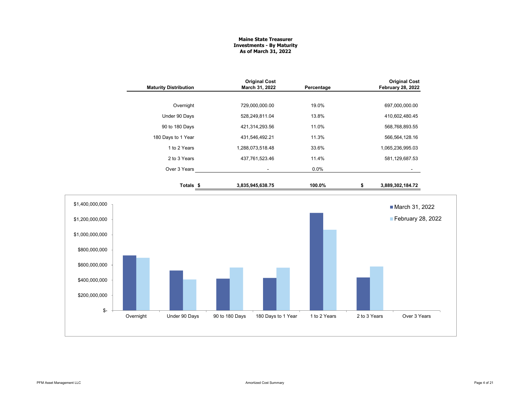#### **Maine State Treasurer Investments - By Maturity As of March 31, 2022**

|                              | <b>Original Cost</b> |            | <b>Original Cost</b>     |
|------------------------------|----------------------|------------|--------------------------|
| <b>Maturity Distribution</b> | March 31, 2022       | Percentage | <b>February 28, 2022</b> |
| Overnight                    | 729,000,000.00       | 19.0%      | 697,000,000.00           |
| Under 90 Days                | 528,249,811.04       | 13.8%      | 410,602,480.45           |
| 90 to 180 Days               | 421,314,293.56       | 11.0%      | 568,768,893.55           |
| 180 Days to 1 Year           | 431,546,492.21       | 11.3%      | 566,564,128.16           |
| 1 to 2 Years                 | 1,288,073,518.48     | 33.6%      | 1,065,236,995.03         |
| 2 to 3 Years                 | 437,761,523.46       | 11.4%      | 581,129,687.53           |
| Over 3 Years                 |                      | $0.0\%$    |                          |
| Totals \$                    | 3,835,945,638.75     | 100.0%     | \$<br>3,889,302,184.72   |

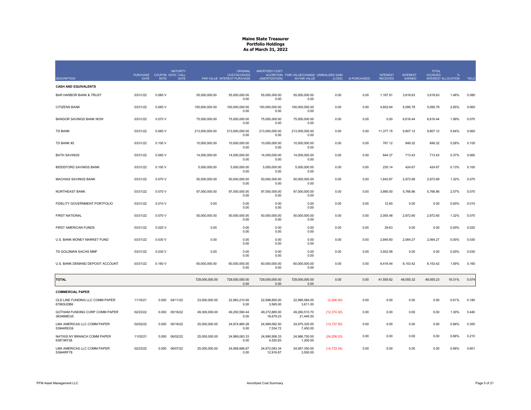|                                              | PURCHASE COUPON DATE / CALL |             | <b>MATURITY</b> |                | <b>ORIGINAL</b><br>COST/ACCRUED | AMORTIZED COST/            | ACCRETION FAIR VALUE/CHANGE UNREALIZED GAIN |              |              | <b>INTEREST</b> | <b>INTEREST</b> | <b>TOTAL</b><br><b>ACCRUED</b> |                            |       |
|----------------------------------------------|-----------------------------|-------------|-----------------|----------------|---------------------------------|----------------------------|---------------------------------------------|--------------|--------------|-----------------|-----------------|--------------------------------|----------------------------|-------|
| <b>DESCRIPTION</b>                           | <b>DATE</b>                 | <b>RATE</b> | DATE            |                | PAR VALUE INTEREST PURCHASE     | (AMORTIZATION)             | IN FAIR VALUE                               | (LOSS)       | AI PURCHASED | <b>RECEIVED</b> | EARNED          |                                | <b>INTEREST ALLOCATION</b> | YIELD |
| <b>CASH AND EQUIVALENTS</b>                  |                             |             |                 |                |                                 |                            |                                             |              |              |                 |                 |                                |                            |       |
| <b>BAR HARBOR BANK &amp; TRUST</b>           | 03/31/22                    | 0.080V      |                 | 55,000,000.00  | 55,000,000.00<br>0.00           | 55,000,000.00<br>0.00      | 55,000,000.00<br>0.00                       | 0.00         | 0.00         | 1,167.91        | 3,618.63        | 3,618.63                       | 1.46%                      | 0.080 |
| <b>CITIZENS BANK</b>                         | 03/31/22                    | 0.060V      |                 | 100,000,000.00 | 100,000,000.00<br>0.00          | 100,000,000.00<br>0.00     | 100,000,000.00<br>0.00                      | 0.00         | 0.00         | 4,602.64        | 5,095.78        | 5,095.78                       | 2.65%                      | 0.060 |
| BANGOR SAVINGS BANK NOW                      | 03/31/22                    | 0.070 V     |                 | 75,000,000.00  | 75,000,000.00<br>0.00           | 75,000,000.00<br>0.00      | 75,000,000.00<br>0.00                       | 0.00         | 0.00         | 0.00            | 6,616.44        | 6,616.44                       | 1.99%                      | 0.070 |
| <b>TD BANK</b>                               | 03/31/22                    | 0.060V      |                 | 213,000,000.00 | 213.000.000.00<br>0.00          | 213.000.000.00<br>0.00     | 213,000,000.00<br>0.00                      | 0.00         | 0.00         | 11.377.15       | 9,807.12        | 9,807.12                       | 5.64%                      | 0.060 |
| TD BANK #2                                   | 03/31/22                    | 0.100V      |                 | 10,000,000.00  | 10,000,000.00<br>0.00           | 10,000,000.00<br>0.00      | 10,000,000.00<br>0.00                       | 0.00         | 0.00         | 767.12          | 849.32          | 849.32                         | 0.26%                      | 0.100 |
| <b>BATH SAVINGS</b>                          | 03/31/22                    | 0.060V      |                 | 14,000,000.00  | 14,000,000.00<br>0.00           | 14,000,000.00<br>0.00      | 14,000,000.00<br>0.00                       | 0.00         | 0.00         | 644.37          | 713.43          | 713.43                         | 0.37%                      | 0.060 |
| <b>BIDDEFORD SAVINGS BANK</b>                | 03/31/22                    | 0.100V      |                 | 5,000,000.00   | 5.000.000.00<br>0.00            | 5.000.000.00<br>0.00       | 5,000,000.00<br>0.00                        | 0.00         | 0.00         | 230.14          | 424.67          | 424.67                         | 0.13%                      | 0.100 |
| <b>MACHIAS SAVINGS BANK</b>                  | 03/31/22                    | 0.070 V     |                 | 50,000,000.00  | 50,000,000.00<br>0.00           | 50,000,000.00<br>0.00      | 50,000,000.00<br>0.00                       | 0.00         | 0.00         | 1,643.87        | 2,972.69        | 2,972.69                       | 1.32%                      | 0.070 |
| NORTHEAST BANK                               | 03/31/22                    | 0.070 V     |                 | 97,000,000.00  | 97,000,000.00<br>0.00           | 97,000,000.00<br>0.00      | 97,000,000.00<br>0.00                       | 0.00         | 0.00         | 3,880.00        | 5,766.86        | 5,766.86                       | 2.57%                      | 0.070 |
| FIDELITY GOVERNMENT PORTFOLIO                | 03/31/22                    | 0.010V      |                 | 0.00           | 0.00<br>0.00                    | 0.00<br>0.00               | 0.00<br>0.00                                | 0.00         | 0.00         | 12.60           | 0.00            | 0.00                           | 0.00%                      | 0.010 |
| <b>FIRST NATIONAL</b>                        | 03/31/22                    | 0.070 V     |                 | 50,000,000.00  | 50,000,000.00<br>0.00           | 50,000,000.00<br>0.00      | 50,000,000.00<br>0.00                       | 0.00         | 0.00         | 2,005.48        | 2,972.60        | 2,972.60                       | 1.32%                      | 0.070 |
| FIRST AMERICAN FUNDS                         | 03/31/22                    | 0.020 V     |                 | 0.00           | 0.00<br>0.00                    | 0.00<br>0.00               | 0.00<br>0.00                                | 0.00         | 0.00         | 29.63           | 0.00            | 0.00                           | 0.00%                      | 0.020 |
| U.S. BANK MONEY MARKET FUND                  | 03/31/22                    | 0.030 V     |                 | 0.00           | 0.00<br>0.00                    | 0.00<br>0.00               | 0.00<br>0.00                                | 0.00         | 0.00         | 2,845.60        | 2,064.27        | 2.064.27                       | 0.00%                      | 0.030 |
| TD GOLDMAN SACHS MMF                         | 03/31/22                    | 0.030 V     |                 | 0.00           | 0.00<br>0.00                    | 0.00<br>0.00               | 0.00<br>0.00                                | 0.00         | 0.00         | 3,932.58        | 0.00            | 0.00                           | 0.00%                      | 0.030 |
| U.S. BANK DEMAND DEPOSIT ACCOUNT             | 03/31/22                    | 0.160V      |                 | 60,000,000.00  | 60,000,000.00<br>0.00           | 60,000,000.00<br>0.00      | 60,000,000.00<br>0.00                       | 0.00         | 0.00         | 8,416.44        | 8,153.42        | 8,153.42                       | 1.59%                      | 0.160 |
| <b>TOTAL</b>                                 |                             |             |                 | 729,000,000.00 | 729,000,000.00<br>0.00          | 729,000,000.00<br>0.00     | 729,000,000.00<br>0.00                      | 0.00         | 0.00         | 41,555.62       | 49,055.32       | 49,055.23                      | 19.31%                     | 0.074 |
| <b>COMMERCIAL PAPER</b>                      |                             |             |                 |                |                                 |                            |                                             |              |              |                 |                 |                                |                            |       |
| OLD LINE FUNDING LLC COMM PAPER<br>67983UDB6 | 11/16/21                    | 0.000       | 04/11/22        | 23,000,000.00  | 22,983,210.00<br>0.00           | 22,998,850.00<br>3,565.00  | 22,995,584.00<br>3,611.00                   | (3,266.00)   | 0.00         | 0.00            | 0.00            | 0.00                           | 0.61%                      | 0.180 |
| GOTHAM FUNDING CORP COMM PAPER<br>38346MEG5  | 02/23/22                    | 0.000       | 05/16/22        | 49,300,000.00  | 49,250,590.44<br>0.00           | 49,272,885.00<br>18,679.23 | 49,260,510.70<br>21,445.50                  | (12, 374.30) | 0.00         | 0.00            | 0.00            | 0.00                           | 1.30%                      | 0.440 |
| LMA AMERICAS LLC COMM PAPER<br>53944REG9     | 02/02/22                    | 0.000       | 05/16/22        | 25,000,000.00  | 24,974,965.28<br>0.00           | 24,989,062.50<br>7,534.72  | 24,975,325.00<br>7,450.00                   | (13,737.50)  | 0.00         | 0.00            | 0.00            | 0.00                           | 0.66%                      | 0.350 |
| NATIXIS NY BRANCH COMM PAPER<br>63873KF28    | 11/02/21                    | 0.000       | 06/02/22        | 25,000,000.00  | 24,969,083.33<br>0.00           | 24,990,958.33<br>4,520.83  | 24,966,750.00<br>1,200.00                   | (24, 208.33) | 0.00         | 0.00            | 0.00            | 0.00                           | 0.66%                      | 0.210 |
| LMA AMERICAS LLC COMM PAPER<br>53944RF78     | 02/23/22                    | 0.000       | 06/07/22        | 25,000,000.00  | 24,956,666.67<br>0.00           | 24,972,083.34<br>12,916.67 | 24,957,350.00<br>3,500.00                   | (14, 733.34) | 0.00         | 0.00            | 0.00            | 0.00                           | 0.66%                      | 0.601 |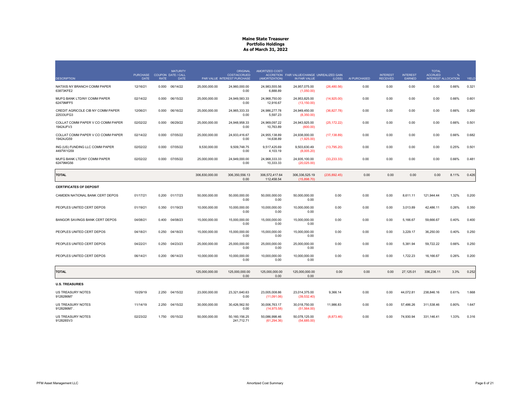|                                                | PURCHASE COUPON DATE / CALL |             | <b>MATURITY</b> |                | <b>ORIGINAL</b><br>COST/ACCRUED | AMORTIZED COST/               | ACCRETION FAIR VALUE/CHANGE UNREALIZED GAIN |               |              | <b>INTEREST</b> | <b>INTEREST</b> | <b>TOTAL</b><br><b>ACCRUED</b> |       |       |
|------------------------------------------------|-----------------------------|-------------|-----------------|----------------|---------------------------------|-------------------------------|---------------------------------------------|---------------|--------------|-----------------|-----------------|--------------------------------|-------|-------|
| <b>DESCRIPTION</b>                             | <b>DATE</b>                 | <b>RATE</b> | <b>DATE</b>     |                | PAR VALUE INTEREST PURCHASE     | (AMORTIZATION)                | IN FAIR VALUE                               | (LOSS)        | AI PURCHASED | <b>RECEIVED</b> | EARNED          | <b>INTEREST ALLOCATION</b>     |       | YIELD |
| NATIXIS NY BRANCH COMM PAPER<br>63873KFE2      | 12/16/21                    | 0.000       | 06/14/22        | 25,000,000.00  | 24,960,000.00<br>0.00           | 24,983,555.56<br>6,888.89     | 24,957,075.00<br>(1,050.00)                 | (26, 480.56)  | 0.00         | 0.00            | 0.00            | 0.00                           | 0.66% | 0.321 |
| MUFG BANK LTD/NY COMM PAPER<br>62479MFF5       | 02/14/22                    | 0.000       | 06/15/22        | 25.000.000.00  | 24.949.583.33<br>0.00           | 24.968.750.00<br>12,916.67    | 24.953.825.00<br>(13, 150.00)               | (14,925.00)   | 0.00         | 0.00            | 0.00            | 0.00                           | 0.66% | 0.601 |
| CREDIT AGRICOLE CIB NY COMM PAPER<br>22533UFG3 | 12/06/21                    | 0.000       | 06/16/22        | 25,000,000.00  | 24,965,333.33<br>0.00           | 24,986,277.78<br>5,597.23     | 24,949,450.00<br>(8,350.00)                 | (36, 827.78)  | 0.00         | 0.00            | 0.00            | 0.00                           | 0.66% | 0.260 |
| COLLAT COMM PAPER V CO COMM PAPER<br>19424JFV3 | 02/02/22                    | 0.000       | 06/29/22        | 25,000,000.00  | 24,948,958.33<br>0.00           | 24,969,097.22<br>10.763.89    | 24,943,925.00<br>(600.00)                   | (25, 172.22)  | 0.00         | 0.00            | 0.00            | 0.00                           | 0.66% | 0.501 |
| COLLAT COMM PAPER V CO COMM PAPER<br>19424JG59 | 02/14/22                    | 0.000       | 07/05/22        | 25.000.000.00  | 24.933.416.67<br>0.00           | 24.955.138.89<br>14,638.89    | 24,938,000.00<br>(1,925.00)                 | (17, 138.89)  | 0.00         | 0.00            | 0.00            | 0.00                           | 0.66% | 0.682 |
| ING (US) FUNDING LLC COMM PAPER<br>4497W1G59   | 02/02/22                    | 0.000       | 07/05/22        | 9.530.000.00   | 9.509.748.75<br>0.00            | 9.517.425.69<br>4,103.19      | 9.503.630.49<br>(8,005.20)                  | (13,795.20)   | 0.00         | 0.00            | 0.00            | 0.00                           | 0.25% | 0.501 |
| MUFG BANK LTD/NY COMM PAPER<br>62479MG56       | 02/02/22                    | 0.000       | 07/05/22        | 25,000,000.00  | 24.949.000.00<br>0.00           | 24.968.333.33<br>10,333.33    | 24,935,100.00<br>(20,025.00)                | (33, 233, 33) | 0.00         | 0.00            | 0.00            | 0.00                           | 0.66% | 0.481 |
| <b>TOTAL</b>                                   |                             |             |                 | 306.830.000.00 | 306.350.556.13<br>0.00          | 306.572.417.64<br>112,458.54  | 306.336.525.19<br>(15.898.70)               | (235, 892.45) | 0.00         | 0.00            | 0.00            | 0.00                           | 8.11% | 0.426 |
| <b>CERTIFICATES OF DEPOSIT</b>                 |                             |             |                 |                |                                 |                               |                                             |               |              |                 |                 |                                |       |       |
| CAMDEN NATIONAL BANK CERT DEPOS                | 01/17/21                    | 0.200       | 01/17/23        | 50,000,000.00  | 50,000,000.00<br>0.00           | 50.000.000.00<br>0.00         | 50,000,000.00<br>0.00                       | 0.00          | 0.00         | 0.00            | 8,611.11        | 121,944.44                     | 1.32% | 0.200 |
| PEOPLES UNITED CERT DEPOS                      | 01/19/21                    | 0.350       | 01/19/23        | 10,000,000.00  | 10,000,000.00<br>0.00           | 10,000,000.00<br>0.00         | 10,000,000.00<br>0.00                       | 0.00          | 0.00         | 0.00            | 3,013.89        | 42,486.11                      | 0.26% | 0.350 |
| BANGOR SAVINGS BANK CERT DEPOS                 | 04/08/21                    | 0.400       | 04/08/23        | 15,000,000.00  | 15,000,000.00<br>0.00           | 15,000,000.00<br>0.00         | 15,000,000.00<br>0.00                       | 0.00          | 0.00         | 0.00            | 5,166.67        | 59,666.67                      | 0.40% | 0.400 |
| PEOPLES UNITED CERT DEPOS                      | 04/18/21                    | 0.250       | 04/18/23        | 15,000,000.00  | 15,000,000.00<br>0.00           | 15,000,000.00<br>0.00         | 15,000,000.00<br>0.00                       | 0.00          | 0.00         | 0.00            | 3,229.17        | 36,250.00                      | 0.40% | 0.250 |
| PEOPLES UNITED CERT DEPOS                      | 04/22/21                    | 0.250       | 04/23/23        | 25,000,000.00  | 25.000.000.00<br>0.00           | 25,000,000.00<br>0.00         | 25,000,000.00<br>0.00                       | 0.00          | 0.00         | 0.00            | 5,381.94        | 59,722.22                      | 0.66% | 0.250 |
| PEOPLES UNITED CERT DEPOS                      | 06/14/21                    | 0.200       | 06/14/23        | 10,000,000.00  | 10,000,000.00<br>0.00           | 10,000,000.00<br>0.00         | 10,000,000.00<br>0.00                       | 0.00          | 0.00         | 0.00            | 1,722.23        | 16,166.67                      | 0.26% | 0.200 |
| <b>TOTAL</b>                                   |                             |             |                 | 125,000,000.00 | 125,000,000.00<br>0.00          | 125,000,000.00<br>0.00        | 125,000,000.00<br>0.00                      | 0.00          | 0.00         | 0.00            | 27,125.01       | 336,236.11                     | 3.3%  | 0.252 |
| <b>U.S. TREASURIES</b>                         |                             |             |                 |                |                                 |                               |                                             |               |              |                 |                 |                                |       |       |
| US TREASURY NOTES<br>9128286M7                 | 10/29/19                    | 2.250       | 04/15/22        | 23,000,000.00  | 23,321,640.63<br>0.00           | 23,005,008.86<br>(11,091.06)  | 23,014,375.00<br>(39,532.40)                | 9,366.14      | 0.00         | 0.00            | 44,072.81       | 238,846.16                     | 0.61% | 1.668 |
| US TREASURY NOTES<br>9128286M7.                | 11/14/19                    | 2.250       | 04/15/22        | 30,000,000.00  | 30,426,562.50<br>0.00           | 30,006,763.17<br>(14, 975.58) | 30,018,750.00<br>(51, 564.00)               | 11,986.83     | 0.00         | 0.00            | 57,486.26       | 311,538.46                     | 0.80% | 1.647 |
| US TREASURY NOTES<br>912828SV3                 | 02/23/22                    | 1.750       | 05/15/22        | 50,000,000.00  | 50,160,156.25<br>241,712.71     | 50,086,998.46<br>(61, 294.36) | 50,078,125.00<br>(54,685.00)                | (8,873.46)    | 0.00         | 0.00            | 74,930.94       | 331,146.41                     | 1.33% | 0.316 |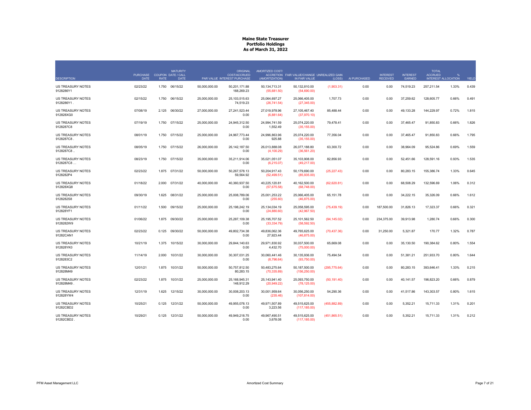|                                        | <b>PURCHASE</b> |             | <b>MATURITY</b><br>COUPON DATE / CALL |               | <b>ORIGINAL</b><br><b>COST/ACCRUED</b> | AMORTIZED COST/               | ACCRETION FAIR VALUE/CHANGE UNREALIZED GAIN |               |              | <b>INTEREST</b> | <b>INTEREST</b> | <b>TOTAL</b><br><b>ACCRUED</b> | $\mathbf{Q}$        |       |
|----------------------------------------|-----------------|-------------|---------------------------------------|---------------|----------------------------------------|-------------------------------|---------------------------------------------|---------------|--------------|-----------------|-----------------|--------------------------------|---------------------|-------|
| <b>DESCRIPTION</b>                     | <b>DATE</b>     | <b>RATE</b> | DATE                                  |               | PAR VALUE INTEREST PURCHASE            | (AMORTIZATION)                | IN FAIR VALUE                               | (LOSS)        | AI PURCHASED | <b>RECEIVED</b> | EARNED          |                                | INTEREST ALLOCATION | YIELD |
| US TREASURY NOTES<br>9128286Y1         | 02/23/22        | 1.750       | 06/15/22                              | 50,000,000.00 | 50.201.171.88<br>168,269.23            | 50,134,713.31<br>(55,681.50)  | 50,132,810.00<br>(54,690.00)                | (1,903.31)    | 0.00         | 0.00            | 74,519.23       | 257,211.54                     | 1.33%               | 0.439 |
| <b>US TREASURY NOTES</b><br>9128286Y1. | 02/15/22        | 1.750       | 06/15/22                              | 25,000,000,00 | 25.103.515.63<br>74,519.23             | 25.064.697.27<br>(26, 741.54) | 25.066.405.00<br>(27, 345.00)               | 1,707.73      | 0.00         | 0.00            | 37.259.62       | 128.605.77                     | 0.66%               | 0.491 |
| US TREASURY NOTES<br>912828XG0         | 07/08/19        | 2.125       | 06/30/22                              | 27,000,000.00 | 27,241,523.44<br>0.00                  | 27,019,978.96<br>(6,881.64)   | 27,105,467.40<br>(37,970.10)                | 85,488.44     | 0.00         | 0.00            | 49,133.28       | 144,229.97                     | 0.72%               | 1.815 |
| US TREASURY NOTES<br>9128287C8         | 07/19/19        | 1.750       | 07/15/22                              | 25,000,000.00 | 24,945,312.50<br>0.00                  | 24,994,741.59<br>1,552.49     | 25,074,220.00<br>(35, 155.00)               | 79,478.41     | 0.00         | 0.00            | 37,465.47       | 91,850.83                      | 0.66%               | 1.826 |
| <b>US TREASURY NOTES</b><br>9128287C8  | 08/01/19        | 1.750       | 07/15/22                              | 25,000,000.00 | 24.967.773.44<br>0.00                  | 24.996.863.96<br>925.88       | 25,074,220.00<br>(35, 155.00)               | 77,356.04     | 0.00         | 0.00            | 37.465.47       | 91,850.83                      | 0.66%               | 1.795 |
| US TREASURY NOTES<br>9128287C8.        | 08/05/19        | 1.750       | 07/15/22                              | 26,000,000.00 | 26,142,187.50<br>0.00                  | 26,013,888.08<br>(4, 100.29)  | 26,077,188.80<br>(36, 561.20)               | 63,300.72     | 0.00         | 0.00            | 38,964.09       | 95,524.86                      | 0.69%               | 1.559 |
| US TREASURY NOTES<br>9128287C8         | 08/23/19        | 1.750       | 07/15/22                              | 35,000,000.00 | 35,211,914.06<br>0.00                  | 35.021.051.07<br>(6,215.07)   | 35,103,908.00<br>(49,217.00)                | 82,856.93     | 0.00         | 0.00            | 52,451.66       | 128,591.16                     | 0.93%               | 1.535 |
| US TREASURY NOTES<br>9128282P4         | 02/23/22        |             | 1.875 07/31/22                        | 50,000,000.00 | 50,267,578.13<br>59,564.92             | 50,204,917.43<br>(52, 499.51) | 50,179,690.00<br>(85,935.00)                | (25, 227.43)  | 0.00         | 0.00            | 80,283.15       | 155,386.74                     | 1.33%               | 0.645 |
| US TREASURY NOTES<br>912828XQ8         | 01/18/22        | 2.000       | 07/31/22                              | 40,000,000.00 | 40.360.937.50<br>0.00                  | 40,225,120.81<br>(57,675.58)  | 40,162,500.00<br>(68,748.00)                | (62, 620.81)  | 0.00         | 0.00            | 68.508.29       | 132,596.69                     | 1.06%               | 0.312 |
| <b>US TREASURY NOTES</b><br>9128282S8  | 09/30/19        | 1.625       | 08/31/22                              | 25,000,000,00 | 25.008.789.06<br>0.00                  | 25.001.253.22<br>(255.60)     | 25.066.405.00<br>(46, 875.00)               | 65,151.78     | 0.00         | 0.00            | 34,222.15       | 35,326.09                      | 0.66%               | 1.612 |
| <b>US TREASURY NOTES</b><br>912828YF1  | 01/11/22        | 1.500       | 09/15/22                              | 25,000,000.00 | 25.198.242.19<br>0.00                  | 25.134.034.19<br>(24,880.60)  | 25,058,595.00<br>(42,967.50)                | (75, 439.19)  | 0.00         | 187.500.00      | 31.826.13       | 17,323.37                      | 0.66%               | 0.321 |
| <b>US TREASURY NOTES</b><br>9128282W9  | 01/06/22        | 1.875       | 09/30/22                              | 25,000,000,00 | 25.287.109.38<br>0.00                  | 25.195.707.52<br>(33, 334.79) | 25.101.562.50<br>(58, 592.50)               | (94, 145.02)  | 0.00         | 234.375.00      | 39.913.98       | 1.280.74                       | 0.66%               | 0.300 |
| US TREASURY NOTES<br>91282CAN1         | 02/23/22        | 0.125       | 09/30/22                              | 50,000,000.00 | 49,802,734.38<br>0.00                  | 49,836,062.36<br>27,923.44    | 49,765,625.00<br>(46, 875.00)               | (70, 437.36)  | 0.00         | 31,250.00       | 5,321.87        | 170.77                         | 1.32%               | 0.787 |
| US TREASURY NOTES<br>912828YK0         | 10/21/19        | 1.375       | 10/15/22                              | 30,000,000.00 | 29,844,140.63<br>0.00                  | 29,971,830.92<br>4,432.70     | 30,037,500.00<br>(75,000.00)                | 65,669.08     | 0.00         | 0.00            | 35,130.50       | 190,384.62                     | 0.80%               | 1.554 |
| <b>US TREASURY NOTES</b><br>9128283C2  | 11/14/19        | 2.000       | 10/31/22                              | 30,000,000.00 | 30.307.031.25<br>0.00                  | 30.060.441.46<br>(8,796.64)   | 30.135.936.00<br>(93,750.00)                | 75,494.54     | 0.00         | 0.00            | 51.381.21       | 251,933.70                     | 0.80%               | 1.644 |
| US TREASURY NOTES<br>912828M49         | 12/01/21        | 1.875       | 10/31/22                              | 50,000,000.00 | 50,757,812.50<br>80,283.15             | 50,483,275.64<br>(70, 335.89) | 50,187,500.00<br>(156, 250.00)              | (295, 775.64) | 0.00         | 0.00            | 80,283.15       | 393,646.41                     | 1.33%               | 0.215 |
| US TREASURY NOTES<br>912828M49         | 02/23/22        | 1.875       | 10/31/22                              | 25,000,000.00 | 25,168,945.31<br>148,912.29            | 25,143,941.40<br>(20, 949.22) | 25,093,750.00<br>(78, 125.00)               | (50, 191.40)  | 0.00         | 0.00            | 40,141.57       | 196,823.20                     | 0.66%               | 0.879 |
| US TREASURY NOTES<br>912828YW4         | 12/31/19        | 1.625       | 12/15/22                              | 30,000,000.00 | 30,008,203.13<br>0.00                  | 30,001,959.64<br>(235.46)     | 30,056,250.00<br>(107, 814.00)              | 54,290.36     | 0.00         | 0.00            | 41,517.86       | 143,303.57                     | 0.80%               | 1.615 |
| US TREASURY NOTES<br>91282CBD2         | 10/25/21        | 0.125       | 12/31/22                              | 50,000,000.00 | 49,955,078.13<br>0.00                  | 49,971,507.89<br>3,223.56     | 49,515,625.00<br>(117, 185.00)              | (455, 882.89) | 0.00         | 0.00            | 5,352.21        | 15,711.33                      | 1.31%               | 0.201 |
| US TREASURY NOTES<br>91282CBD2         | 10/29/21        | 0.125       | 12/31/22                              | 50.000.000.00 | 49.949.218.75<br>0.00                  | 49.967.490.51<br>3,678.08     | 49,515,625.00<br>(117, 185.00)              | (451, 865.51) | 0.00         | 0.00            | 5,352.21        | 15.711.33                      | 1.31%               | 0.212 |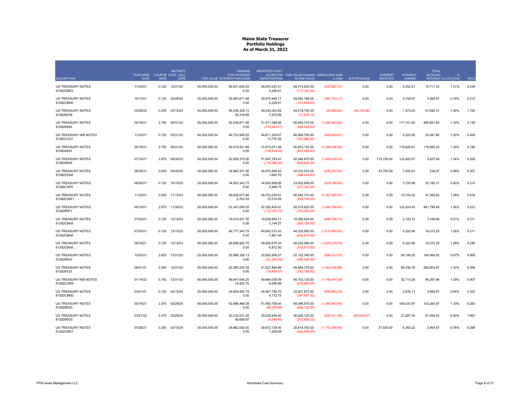|                                        | <b>PURCHASE</b> |             | <b>MATURITY</b><br>COUPON DATE / CALL |               | <b>ORIGINAL</b><br><b>COST/ACCRUED</b> | AMORTIZED COST/                | ACCRETION FAIR VALUE/CHANGE UNREALIZED GAIN |                  |              | <b>INTEREST</b> | <b>INTEREST</b> | <b>TOTAL</b><br><b>ACCRUED</b> |                     |       |
|----------------------------------------|-----------------|-------------|---------------------------------------|---------------|----------------------------------------|--------------------------------|---------------------------------------------|------------------|--------------|-----------------|-----------------|--------------------------------|---------------------|-------|
| <b>DESCRIPTION</b>                     | <b>DATE</b>     | <b>RATE</b> | <b>DATE</b>                           |               | PAR VALUE INTEREST PURCHASE            | (AMORTIZATION)                 | IN FAIR VALUE                               | (LOSS)           | AI PURCHASED | <b>RECEIVED</b> | <b>EARNED</b>   |                                | INTEREST ALLOCATION | YIELD |
| <b>US TREASURY NOTES</b><br>91282CBD2. | 11/23/21        | 0.125       | 12/31/22                              | 50.000.000.00 | 49.931.640.63<br>0.00                  | 49.953.522.41<br>5,258.41      | 49.515.625.00<br>(117, 185.00)              | (437, 897.41)    | 0.00         | 0.00            | 5,352.21        | 15.711.33                      | 1.31%               | 0.249 |
| <b>US TREASURY NOTES</b><br>91282CBN0  | 10/13/21        | 0.125       | 02/28/23                              | 30,000,000.00 | 29,963,671.88<br>0.00                  | 29,975,949.77<br>2,238.91      | 29,592,186.00<br>(121, 878.00)              | (383, 763.77)    | 0.00         | 0.00            | 3,158.97        | 3,260.87                       | 0.78%               | 0.213 |
| US TREASURY NOTES<br>912828ZH6         | 03/28/22        | 0.250       | 04/15/23                              | 50,000,000.00 | 49,236,328.13<br>56.318.68             | 49,244,303.82<br>7.975.69      | 49,218,750.00<br>(17, 578.13)               | (25, 553.82)     | (56,318.68)  | 0.00            | 1,373.63        | 57,692.31                      | 1.30%               | 1.725 |
| US TREASURY NOTES<br>9128284S6         | 05/19/21        | 2.750       | 05/31/23                              | 50,000,000.00 | 52,638,671.88<br>0.00                  | 51,511,368.66<br>(110, 241.01) | 50,484,375.00<br>(460, 935.00)              | (1,026,993.66)   | 0.00         | 0.00            | 117,101.65      | 460,851.65                     | 1.34%               | 0.149 |
| US TREASURY N/B NOTES<br>91282CCD1     | 11/23/21        | 0.125       | 05/31/23                              | 50,000,000.00 | 49.753.906.25<br>0.00                  | 49,811,209.67<br>13,770.59     | 48,968,750.00<br>(351,560.00)               | (842, 459.67)    | 0.00         | 0.00            | 5,322.80        | 20,947.80                      | 1.30%               | 0.450 |
| US TREASURY NOTES<br>9128284X5         | 05/19/21        |             | 2.750 08/31/23                        | 50,000,000.00 | 52,919,921.88<br>0.00                  | 51,810,071.48<br>(108, 534.26) | 50,453,125.00<br>(601, 565.00)              | (1,356,946.48)   | 0.00         | 0.00            | 115,828.81      | 119,565.22                     | 1.34%               | 0.185 |
| US TREASURY NOTES<br>9128285D8         | 07/19/21        | 2.875       | 09/30/23                              | 50,000,000.00 | 52,859,375.00<br>0.00                  | 51,947,793.43<br>(110, 386.83) | 50,546,875.00<br>(640, 625.00)              | (1,400,918.43)   | 0.00         | 718,750.00      | 122,402.87      | 3,927.60                       | 1.34%               | 0.265 |
| US TREASURY NOTES<br>91282CDA6         | 09/30/21        | 0.250       | 09/30/23                              | 35,000,000.00 | 34,960,351.56<br>0.00                  | 34,970,290.83<br>1,683.70      | 34,032,033.00<br>(366, 404.50)              | (938, 257.83)    | 0.00         | 43,750.00       | 7,450.61        | 239.07                         | 0.90%               | 0.307 |
| <b>US TREASURY NOTES</b><br>91282CAP6  | 06/30/21        | 0.125       | 10/15/23                              | 35.000.000.00 | 34.852.343.75<br>0.00                  | 34.900.856.85<br>5,468.75      | 33.922.658.00<br>(377, 342.00)              | (978, 198.85)    | 0.00         | 0.00            | 3,725.96        | 20,192.31                      | 0.90%               | 0.310 |
| US TREASURY NOTES<br>91282CAW1         | 11/23/21        | 0.250       | 11/15/23                              | 50,000,000.00 | 49,638,671.88<br>2,762.43              | 49,703,230.51<br>15,514.09     | 48,445,310.00<br>(593,750.00)               | (1,257,920.51)   | 0.00         | 0.00            | 10,704.42       | 47,306.63                      | 1.28%               | 0.618 |
| <b>US TREASURY NOTES</b><br>9128285P1  | 05/19/21        | 2.875       | 11/30/23                              | 50.000.000.00 | 53.347.656.25<br>0.00                  | 52.200.405.41<br>(112, 191.72) | 50,515,625.00<br>(750,000.00)               | (1,684,780.41)   | 0.00         | 0.00            | 122.424.45      | 481.799.45                     | 1.34%               | 0.223 |
| <b>US TREASURY NOTES</b><br>91282CBA8  | 07/20/21        | 0.125       | 12/15/23                              | 20.000.000.00 | 19.910.937.50<br>0.00                  | 19.936.804.17<br>3,144.57      | 19.290.624.00<br>(253, 126.00)              | (646, 180.17)    | 0.00         | 0.00            | 2.129.12        | 7.348.90                       | 0.51%               | 0.311 |
| <b>US TREASURY NOTES</b><br>91282CBA8  | 07/20/21        | 0.125       | 12/15/23                              | 50,000,000.00 | 49,777,343.75<br>0.00                  | 49.842.010.43<br>7,861.44      | 48,226,560.00<br>(632, 815.00)              | (1,615,450.43)   | 0.00         | 0.00            | 5,322.80        | 18,372.25                      | 1.28%               | 0.311 |
| US TREASURY NOTES<br>91282CBA8.        | 08/16/21        | 0.125       | 12/15/23                              | 50,000,000.00 | 49,808,593.75<br>0.00                  | 49,859,875.33<br>6,972.50      | 48,226,560.00<br>(632, 815.00)              | (1,633,315.33)   | 0.00         | 0.00            | 5,322.80        | 18,372.25                      | 1.28%               | 0.290 |
| US TREASURY NOTES<br>9128285U0         | 12/20/21        | 2.625       | 12/31/23                              | 25,000,000.00 | 25,986,328.13<br>0.00                  | 25,850,558.27<br>(41, 263.39)  | 25,152,345.00<br>(390, 625.00)              | (698, 213.27)    | 0.00         | 0.00            | 56,198.20       | 164,968.92                     | 0.67%               | 0.665 |
| <b>US TREASURY NOTES</b><br>912828V23  | 06/21/21        | 2.250       | 12/31/23                              | 50,000,000.00 | 52.365.234.38<br>0.00                  | 51.637.469.96<br>(79, 439.07)  | 49,984,375.00<br>(742, 185.00)              | (1,653,094.96)   | 0.00         | 0.00            | 96,339.78       | 282,803.87                     | 1.32%               | 0.366 |
| US TREASURY N/B NOTES<br>91282CDR9     | 01/14/22        | 0.750       | 12/31/23                              | 50,000,000.00 | 49,847,656.25<br>14,502.76             | 49,864,039.59<br>6,595.89      | 48,703,125.00<br>(679, 685.00)              | (1, 160, 914.59) | 0.00         | 0.00            | 32,113.26       | 94,267.96                      | 1.29%               | 0.907 |
| US TREASURY NOTES<br>91282CBM2         | 03/01/21        |             | 0.125 02/15/24                        | 25,000,000.00 | 24,854,492.19<br>0.00                  | 24,907,795.70<br>4,172.75      | 24,007,812.50<br>(347, 657.50)              | (899, 983.20)    | 0.00         | 0.00            | 2,676.11        | 3,884.67                       | 0.64%               | 0.323 |
| US TREASURY NOTES<br>9128286G0         | 05/19/21        | 2.375       | 02/29/24                              | 50,000,000.00 | 52,896,484.38<br>0.00                  | 51,992,758.45<br>(88, 376.98)  | 50,046,875.00<br>(828, 125.00)              | (1,945,883.45)   | 0.00         | 0.00            | 100,033.97      | 103,260.87                     | 1.33%               | 0.283 |
| <b>US TREASURY NOTES</b><br>9128286G0  | 03/21/22        | 2.375       | 02/29/24                              | 30.000.000.00 | 30.232.031.25<br>40,658.97             | 30.228.436.40<br>(3,594.85)    | 30,028,125.00<br>(203,906.25)               | (200, 311.40)    | (40,658.97)  | 0.00            | 21.297.55       | 61.956.52                      | 0.80%               | 1.967 |
| US TREASURY NOTES<br>91282CBR1         | 07/28/21        | 0.250       | 03/15/24                              | 30,000,000.00 | 29.962.500.00<br>0.00                  | 29,972,138.40<br>1.209.68      | 28,818,750.00<br>(426.564.00)               | (1, 153, 388.40) | 0.00         | 37,500.00       | 6,365.22        | 3,464.67                       | 0.76%               | 0.298 |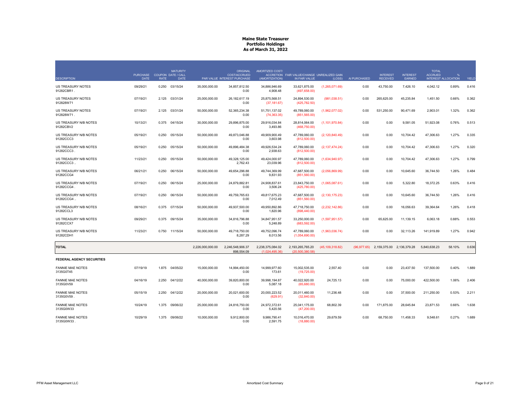|                                        | <b>PURCHASE</b> |             | <b>MATURITY</b><br>COUPON DATE / CALL |                  | <b>ORIGINAL</b><br><b>COST/ACCRUED</b> | AMORTIZED COST/                    | ACCRETION FAIR VALUE/CHANGE UNREALIZED GAIN |                   |              | <b>INTEREST</b>                       | <b>INTEREST</b> | <b>TOTAL</b><br><b>ACCRUED</b> |                            |       |
|----------------------------------------|-----------------|-------------|---------------------------------------|------------------|----------------------------------------|------------------------------------|---------------------------------------------|-------------------|--------------|---------------------------------------|-----------------|--------------------------------|----------------------------|-------|
| <b>DESCRIPTION</b>                     | <b>DATE</b>     | <b>RATE</b> | <b>DATE</b>                           |                  | PAR VALUE INTEREST PURCHASE            | (AMORTIZATION)                     | IN FAIR VALUE                               | (LOSS)            | AI PURCHASED | <b>RECEIVED</b>                       | <b>EARNED</b>   |                                | <b>INTEREST ALLOCATION</b> | YIELD |
| <b>US TREASURY NOTES</b><br>91282CBR1. | 09/29/21        | 0.250       | 03/15/24                              | 35,000,000.00    | 34,857,812.50<br>0.00                  | 34.886.946.69<br>4,908.48          | 33,621,875.00<br>(497, 658.00)              | (1,265,071.69)    | 0.00         | 43,750.00                             | 7,426.10        | 4,042.12                       | 0.89%                      | 0.416 |
| <b>US TREASURY NOTES</b><br>912828W71  | 07/19/21        | 2.125       | 03/31/24                              | 25.000.000.00    | 26.182.617.19<br>0.00                  | 25.875.568.51<br>(37, 181.67)      | 24.894.530.00<br>(425, 782.50)              | (981,038.51)      | 0.00         | 265.625.00                            | 45.235.84       | 1.451.50                       | 0.66%                      | 0.362 |
| US TREASURY NOTES<br>912828W71.        | 07/19/21        | 2.125       | 03/31/24                              | 50,000,000.00    | 52.365.234.38<br>0.00                  | 51.751.137.02<br>(74, 363.35)      | 49,789,060.00<br>(851, 565.00)              | (1,962,077.02)    | 0.00         | 531.250.00                            | 90.471.69       | 2.903.01                       | 1.32%                      | 0.362 |
| US TREASURY N/B NOTES<br>91282CBV2     | 10/13/21        |             | 0.375 04/15/24                        | 30,000,000.00    | 29,896,875.00<br>0.00                  | 29,916,034.84<br>3,493.86          | 28,814,064.00<br>(468, 750.00)              | (1, 101, 970.84)  | 0.00         | 0.00                                  | 9,581.05        | 51,923.08                      | 0.76%                      | 0.513 |
| US TREASURY N/B NOTES<br>91282CCC3     | 05/19/21        | 0.250       | 05/15/24                              | 50.000.000.00    | 49.873.046.88<br>0.00                  | 49.909.900.49<br>3,603.98          | 47,789,060.00<br>(812,500.00)               | (2, 120, 840.49)  | 0.00         | 0.00                                  | 10.704.42       | 47.306.63                      | 1.27%                      | 0.335 |
| US TREASURY N/B NOTES<br>91282CCC3     | 05/19/21        | 0.250       | 05/15/24                              | 50.000.000.00    | 49.896.484.38<br>0.00                  | 49.926.534.24<br>2,938.63          | 47.789.060.00<br>(812,500.00)               | (2, 137, 474.24)  | 0.00         | 0.00                                  | 10.704.42       | 47.306.63                      | 1.27%                      | 0.320 |
| US TREASURY N/B NOTES<br>91282CCC3     | 11/23/21        | 0.250       | 05/15/24                              | 50,000,000.00    | 49.328.125.00<br>2,762.43              | 49.424.000.97<br>23,039.96         | 47,789,060.00<br>(812,500.00)               | (1,634,940.97)    | 0.00         | 0.00                                  | 10.704.42       | 47.306.63                      | 1.27%                      | 0.799 |
| US TREASURY N/B NOTES<br>91282CCG4     | 06/21/21        | 0.250       | 06/15/24                              | 50,000,000.00    | 49,654,296.88<br>0.00                  | 49,744,369.99<br>9.831.93          | 47,687,500.00<br>(851,560.00)               | (2,056,869.99)    | 0.00         | 0.00                                  | 10,645.60       | 36,744.50                      | 1.26%                      | 0.484 |
| US TREASURY N/B NOTES<br>91282CCG4     | 07/19/21        | 0.250       | 06/15/24                              | 25,000,000.00    | 24.879.882.81<br>0.00                  | 24.908.837.61<br>3,506.24          | 23,843,750.00<br>(425,780.00)               | (1,065,087.61)    | 0.00         | 0.00                                  | 5,322.80        | 18,372.25                      | 0.63%                      | 0.416 |
| US TREASURY N/B NOTES<br>91282CCG4.    | 07/19/21        | 0.250       | 06/15/24                              | 50,000,000.00    | 49,759,765.63<br>0.00                  | 49,817,675.23<br>7,012.49          | 47,687,500.00<br>(851,560.00)               | (2, 130, 175.23)  | 0.00         | 0.00                                  | 10,645.60       | 36,744.50                      | 1.26%                      | 0.416 |
| US TREASURY N/B NOTES<br>91282CCL3     | 08/16/21        |             | 0.375 07/15/24                        | 50,000,000.00    | 49,937,500.00<br>0.00                  | 49,950,892.86<br>1,820.96          | 47,718,750.00<br>(898, 440.00)              | (2,232,142.86)    | 0.00         | 0.00                                  | 16,056.63       | 39,364.64                      | 1.26%                      | 0.418 |
| US TREASURY N/B NOTES<br>91282CCX7     | 09/29/21        | 0.375       | 09/15/24                              | 35,000,000.00    | 34,816,796.88<br>0.00                  | 34,847,951.57<br>5,248.89          | 33,250,000.00<br>(683, 592.00)              | (1,597,951.57)    | 0.00         | 65,625.00                             | 11,139.15       | 6,063.18                       | 0.88%                      | 0.553 |
| US TREASURY N/B NOTES<br>91282CDH1     | 11/23/21        |             | 0.750 11/15/24                        | 50,000,000.00    | 49,718,750.00<br>8,287.29              | 49.752.096.74<br>8,013.56          | 47,789,060.00<br>(1,054,690.00)             | (1,963,036.74)    | 0.00         | 0.00                                  | 32,113.26       | 141,919.89                     | 1.27%                      | 0.942 |
| <b>TOTAL</b>                           |                 |             |                                       | 2,226,000,000.00 | 2,246,548,906.37<br>898.554.09         | 2,238,375,084.02<br>(1.024.495.36) | 2,193,265,765.20<br>(20.500.380.58)         | (45, 109, 318.82) |              | (96,977.65) 2,159,375.00 2,136,379.28 |                 | 5,840,638.23                   | 58.10%                     | 0.636 |
| <b>FEDERAL AGENCY SECURITIES</b>       |                 |             |                                       |                  |                                        |                                    |                                             |                   |              |                                       |                 |                                |                            |       |
| <b>FANNIE MAE NOTES</b><br>3135G0T45   | 07/19/19        | 1.875       | 04/05/22                              | 15,000,000.00    | 14,994,450.00<br>0.00                  | 14,999,977.60<br>173.61            | 15,002,535.00<br>(19,725.00)                | 2,557.40          | 0.00         | 0.00                                  | 23,437.50       | 137,500.00                     | 0.40%                      | 1.889 |
| <b>FANNIE MAE NOTES</b><br>3135G0V59   | 04/16/19        | 2.250       | 04/12/22                              | 40,000,000.00    | 39,820,800.00<br>0.00                  | 39,998,194.87<br>5,087.18          | 40,022,920.00<br>(65,680.00)                | 24,725.13         | 0.00         | 0.00                                  | 75,000.00       | 422,500.00                     | 1.06%                      | 2.406 |
| <b>FANNIE MAE NOTES</b><br>3135G0V59   | 05/15/19        | 2.250       | 04/12/22                              | 20,000,000.00    | 20,021,600.00<br>0.00                  | 20,000,223.52<br>(629.91)          | 20,011,460.00<br>(32,840.00)                | 11,236.48         | 0.00         | 0.00                                  | 37,500.00       | 211,250.00                     | 0.53%                      | 2.211 |
| <b>FANNIE MAE NOTES</b><br>3135G0W33   | 10/24/19        | 1.375       | 09/06/22                              | 25,000,000.00    | 24,816,750.00<br>0.00                  | 24,972,372.61<br>5,420.56          | 25,041,175.00<br>(47,200.00)                | 68,802.39         | 0.00         | 171,875.00                            | 28,645.84       | 23,871.53                      | 0.66%                      | 1.638 |
| <b>FANNIE MAE NOTES</b><br>3135G0W33   | 10/29/19        |             | 1.375 09/06/22                        | 10,000,000.00    | 9.912.800.00<br>0.00                   | 9,986,790.41<br>2.591.75           | 10,016,470.00<br>(18.880.00)                | 29.679.59         | 0.00         | 68,750.00                             | 11,458.33       | 9,548.61                       | 0.27%                      | 1.689 |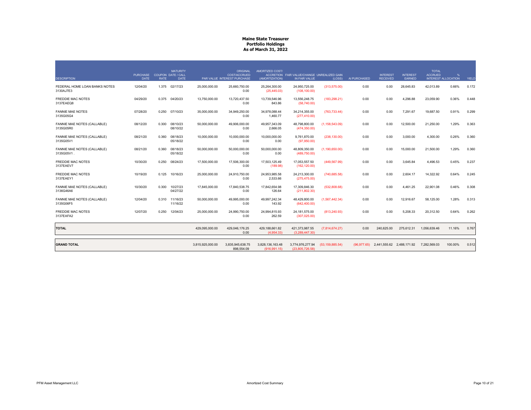|                                            | PURCHASE COUPON DATE / CALL |             | <b>MATURITY</b>      |                  | <b>ORIGINAL</b><br><b>COST/ACCRUED</b> | AMORTIZED COST/                   | ACCRETION FAIR VALUE/CHANGE UNREALIZED GAIN |                   |              | <b>INTEREST</b>           | <b>INTEREST</b> | <b>TOTAL</b><br><b>ACCRUED</b> | %                          |       |
|--------------------------------------------|-----------------------------|-------------|----------------------|------------------|----------------------------------------|-----------------------------------|---------------------------------------------|-------------------|--------------|---------------------------|-----------------|--------------------------------|----------------------------|-------|
| <b>DESCRIPTION</b>                         | <b>DATE</b>                 | <b>RATE</b> | <b>DATE</b>          |                  | PAR VALUE INTEREST PURCHASE            | (AMORTIZATION)                    | IN FAIR VALUE                               | (LOSS)            | AI PURCHASED | <b>RECEIVED</b>           | <b>EARNED</b>   |                                | <b>INTEREST ALLOCATION</b> | YIELD |
| FEDERAL HOME LOAN BANKS NOTES<br>3130AJ7E3 | 12/04/20                    |             | 1.375 02/17/23       | 25,000,000.00    | 25,660,750.00<br>0.00                  | 25,264,300.00<br>(25, 445.03)     | 24,950,725.00<br>(108, 100.00)              | (313, 575.00)     | 0.00         | 0.00                      | 28,645.83       | 42,013.89                      | 0.66%                      | 0.172 |
| <b>FREDDIE MAC NOTES</b><br>3137EAEQ8      | 04/29/20                    |             | 0.375 04/20/23       | 13,750,000.00    | 13,720,437.50<br>0.00                  | 13.739.546.96<br>843.86           | 13,556,248.75<br>(58,740.00)                | (183, 298.21)     | 0.00         | 0.00                      | 4,296.88        | 23,059.90                      | 0.36%                      | 0.448 |
| <b>FANNIE MAE NOTES</b><br>3135G05G4       | 07/28/20                    |             | 0.250 07/10/23       | 35,000,000.00    | 34,949,250.00<br>0.00                  | 34.978.088.44<br>1,460.77         | 34.214.355.00<br>(277, 410.00)              | (763, 733.44)     | 0.00         | 0.00                      | 7,291.67        | 19,687.50                      | 0.91%                      | 0.299 |
| FANNIE MAE NOTES (CALLABLE)<br>3135G05R0   | 08/12/20                    | 0.300       | 08/10/23<br>08/10/22 | 50,000,000.00    | 49.906.000.00<br>0.00                  | 49.957.343.09<br>2,666.05         | 48.798.800.00<br>(474, 350.00)              | (1, 158, 543.09)  | 0.00         | 0.00                      | 12.500.00       | 21.250.00                      | 1.29%                      | 0.363 |
| FANNIE MAE NOTES (CALLABLE)<br>3135G05V1   | 08/21/20                    | 0.360       | 08/18/23<br>05/18/22 | 10,000,000.00    | 10.000.000.00<br>0.00                  | 10.000.000.00<br>0.00             | 9.761.870.00<br>(97,950.00)                 | (238, 130.00)     | 0.00         | 0.00                      | 3.000.00        | 4.300.00                       | 0.26%                      | 0.360 |
| FANNIE MAE NOTES (CALLABLE)<br>3135G05V1   | 08/21/20                    | 0.360       | 08/18/23<br>05/18/22 | 50,000,000.00    | 50.000.000.00<br>0.00                  | 50.000.000.00<br>0.00             | 48,809,350.00<br>(489, 750.00)              | (1, 190, 650.00)  | 0.00         | 0.00                      | 15,000.00       | 21,500.00                      | 1.29%                      | 0.360 |
| <b>FREDDIE MAC NOTES</b><br>3137EAEV7      | 10/30/20                    | 0.250       | 08/24/23             | 17,500,000.00    | 17.506.300.00<br>0.00                  | 17.503.125.49<br>(189.98)         | 17.053.557.50<br>(162, 120.00)              | (449, 567.99)     | 0.00         | 0.00                      | 3.645.84        | 4.496.53                       | 0.45%                      | 0.237 |
| <b>FREDDIE MAC NOTES</b><br>3137EAEY1      | 10/19/20                    | 0.125       | 10/16/23             | 25,000,000.00    | 24,910,750.00<br>0.00                  | 24.953.985.58<br>2,533.66         | 24,213,300.00<br>(275, 475.00)              | (740, 685.58)     | 0.00         | 0.00                      | 2,604.17        | 14,322.92                      | 0.64%                      | 0.245 |
| FANNIE MAE NOTES (CALLABLE)<br>3136G46A6   | 10/30/20                    | 0.300       | 10/27/23<br>04/27/22 | 17,845,000.00    | 17,840,538.75<br>0.00                  | 17.842.654.98<br>126.64           | 17.309.846.30<br>(211, 802.30)              | (532, 808.68)     | 0.00         | 0.00                      | 4,461.25        | 22,901.08                      | 0.46%                      | 0.308 |
| FANNIE MAE NOTES (CALLABLE)<br>3135G06F5   | 12/04/20                    | 0.310       | 11/16/23<br>11/16/22 | 50,000,000.00    | 49.995.000.00<br>0.00                  | 49.997.242.34<br>143.92           | 48,429,800.00<br>(642, 400.00)              | (1,567,442.34)    | 0.00         | 0.00                      | 12,916.67       | 58,125.00                      | 1.28%                      | 0.313 |
| <b>FREDDIE MAC NOTES</b><br>3137EAFA2      | 12/07/20                    | 0.250       | 12/04/23             | 25.000.000.00    | 24.990.750.00<br>0.00                  | 24.994.815.93<br>262.59           | 24.181.575.00<br>(307, 025.00)              | (813, 240.93)     | 0.00         | 0.00                      | 5.208.33        | 20.312.50                      | 0.64%                      | 0.262 |
| <b>TOTAL</b>                               |                             |             |                      | 429,095,000.00   | 429,046,176.25<br>0.00                 | 429,188,661.82<br>(4,954.33)      | 421,373,987.55<br>(3,289,447.30)            | (7,814,674.27)    | 0.00         | 240,625.00                | 275,612.31      | 1,056,639.46                   | 11.16%                     | 0.767 |
| <b>GRAND TOTAL</b>                         |                             |             |                      | 3,815,925,000.00 | 3,835,945,638.75<br>898,554.09         | 3,828,136,163.48<br>(916, 991.15) | 3,774,976,277.94<br>(23.805.726.58)         | (53, 159, 885.54) | (96.977.65)  | 2,441,555.62 2,488,171.92 |                 | 7.282.569.03                   | 100.00%                    | 0.512 |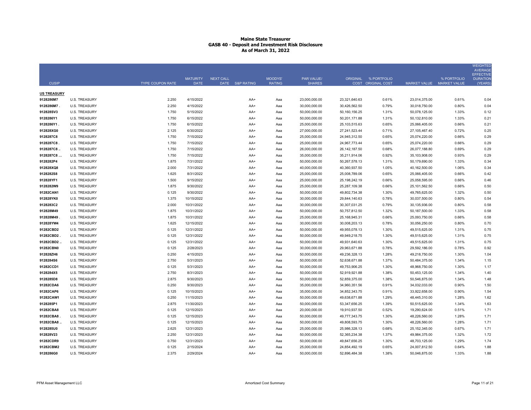|                    |                      |                         |                                |                                     |                          |                                    |                  |                                            |                           |             | <b>WEIGHTED</b><br><b>AVERAGE</b><br><b>EFFECTIVE</b> |
|--------------------|----------------------|-------------------------|--------------------------------|-------------------------------------|--------------------------|------------------------------------|------------------|--------------------------------------------|---------------------------|-------------|-------------------------------------------------------|
| <b>CUSIP</b>       |                      | <b>TYPE COUPON RATE</b> | <b>MATURITY</b><br><b>DATE</b> | <b>NEXT CALL</b><br>DATE S&P RATING | MOODYS'<br><b>RATING</b> | <b>PAR VALUE/</b><br><b>SHARES</b> |                  | ORIGINAL % PORTFOLIO<br>COST ORIGINAL COST | MARKET VALUE MARKET VALUE | % PORTFOLIO | <b>DURATION</b><br>(YEARS)                            |
| <b>US TREASURY</b> |                      |                         |                                |                                     |                          |                                    |                  |                                            |                           |             |                                                       |
| 9128286M7          | <b>U.S. TREASURY</b> | 2.250                   | 4/15/2022                      | AA+                                 | Aaa                      | 23,000,000.00                      | 23,321,640.63    | 0.61%                                      | 23,014,375.00             | 0.61%       | 0.04                                                  |
| 9128286M7.         | <b>U.S. TREASURY</b> | 2.250                   | 4/15/2022                      | AA+                                 | Aaa                      | 30,000,000.00                      | 30,426,562.50    | 0.79%                                      | 30,018,750.00             | 0.80%       | 0.04                                                  |
| 912828SV3          | <b>U.S. TREASURY</b> | 1.750                   | 5/15/2022                      | AA+                                 | Aaa                      | 50,000,000.00                      | 50,160,156.25    | 1.31%                                      | 50,078,125.00             | 1.33%       | 0.12                                                  |
| 9128286Y1          | <b>U.S. TREASURY</b> | 1.750                   | 6/15/2022                      | AA+                                 | Aaa                      | 50,000,000.00                      | 50,201,171.88    | 1.31%                                      | 50,132,810.00             | 1.33%       | 0.21                                                  |
| 9128286Y1          | <b>U.S. TREASURY</b> | 1.750                   | 6/15/2022                      | AA+                                 | Aaa                      | 25,000,000.00                      | 25,103,515.63    | 0.65%                                      | 25,066,405.00             | 0.66%       | 0.21                                                  |
| 912828XG0          | <b>U.S. TREASURY</b> | 2.125                   | 6/30/2022                      | AA+                                 | Aaa                      | 27,000,000.00                      | 27,241,523.44    | 0.71%                                      | 27,105,467.40             | 0.72%       | 0.25                                                  |
| 9128287C8          | <b>U.S. TREASURY</b> | 1.750                   | 7/15/2022                      | AA+                                 | Aaa                      | 25,000,000.00                      | 24,945,312.50    | 0.65%                                      | 25,074,220.00             | 0.66%       | 0.29                                                  |
| 9128287C8.         | U.S. TREASURY        | 1.750                   | 7/15/2022                      | AA+                                 | Aaa                      | 25,000,000.00                      | 24,967,773.44    | 0.65%                                      | 25,074,220.00             | 0.66%       | 0.29                                                  |
| 9128287C8          | <b>U.S. TREASURY</b> | 1.750                   | 7/15/2022                      | AA+                                 | Aaa                      | 26,000,000.00                      | 26, 142, 187.50  | 0.68%                                      | 26,077,188.80             | 0.69%       | 0.29                                                  |
| 9128287C8          | <b>U.S. TREASURY</b> | 1.750                   | 7/15/2022                      | AA+                                 | Aaa                      | 35,000,000.00                      | 35,211,914.06    | 0.92%                                      | 35,103,908.00             | 0.93%       | 0.29                                                  |
| 9128282P4          | <b>U.S. TREASURY</b> | 1.875                   | 7/31/2022                      | AA+                                 | Aaa                      | 50,000,000.00                      | 50,267,578.13    | 1.31%                                      | 50,179,690.00             | 1.33%       | 0.34                                                  |
| 912828XQ8          | <b>U.S. TREASURY</b> | 2.000                   | 7/31/2022                      | AA+                                 | Aaa                      | 40,000,000.00                      | 40,360,937.50    | 1.05%                                      | 40,162,500.00             | 1.06%       | 0.34                                                  |
| 9128282S8          | <b>U.S. TREASURY</b> | 1.625                   | 8/31/2022                      | AA+                                 | Aaa                      | 25,000,000.00                      | 25,008,789.06    | 0.65%                                      | 25,066,405.00             | 0.66%       | 0.42                                                  |
| 912828YF1          | <b>U.S. TREASURY</b> | 1.500                   | 9/15/2022                      | AA+                                 | Aaa                      | 25,000,000.00                      | 25, 198, 242. 19 | 0.66%                                      | 25,058,595.00             | 0.66%       | 0.46                                                  |
| 9128282W9          | <b>U.S. TREASURY</b> | 1.875                   | 9/30/2022                      | AA+                                 | Aaa                      | 25,000,000.00                      | 25,287,109.38    | 0.66%                                      | 25,101,562.50             | 0.66%       | 0.50                                                  |
| 91282CAN1          | <b>U.S. TREASURY</b> | 0.125                   | 9/30/2022                      | AA+                                 | Aaa                      | 50,000,000.00                      | 49,802,734.38    | 1.30%                                      | 49,765,625.00             | 1.32%       | 0.50                                                  |
| 912828YK0          | <b>U.S. TREASURY</b> | 1.375                   | 10/15/2022                     | AA+                                 | Aaa                      | 30,000,000.00                      | 29,844,140.63    | 0.78%                                      | 30,037,500.00             | 0.80%       | 0.54                                                  |
| 9128283C2          | <b>U.S. TREASURY</b> | 2.000                   | 10/31/2022                     | AA+                                 | Aaa                      | 30,000,000.00                      | 30,307,031.25    | 0.79%                                      | 30,135,936.00             | 0.80%       | 0.58                                                  |
| 912828M49          | <b>U.S. TREASURY</b> | 1.875                   | 10/31/2022                     | AA+                                 | Aaa                      | 50,000,000.00                      | 50,757,812.50    | 1.32%                                      | 50,187,500.00             | 1.33%       | 0.58                                                  |
| 912828M49          | <b>U.S. TREASURY</b> | 1.875                   | 10/31/2022                     | AA+                                 | Aaa                      | 25,000,000.00                      | 25, 168, 945. 31 | 0.66%                                      | 25,093,750.00             | 0.66%       | 0.58                                                  |
| 912828YW4          | <b>U.S. TREASURY</b> | 1.625                   | 12/15/2022                     | AA+                                 | Aaa                      | 30,000,000.00                      | 30,008,203.13    | 0.78%                                      | 30,056,250.00             | 0.80%       | 0.70                                                  |
| 91282CBD2          | <b>U.S. TREASURY</b> | 0.125                   | 12/31/2022                     | AA+                                 | Aaa                      | 50,000,000.00                      | 49,955,078.13    | 1.30%                                      | 49,515,625.00             | 1.31%       | 0.75                                                  |
| 91282CBD2          | U.S. TREASURY        | 0.125                   | 12/31/2022                     | AA+                                 | Aaa                      | 50,000,000.00                      | 49,949,218.75    | 1.30%                                      | 49,515,625.00             | 1.31%       | 0.75                                                  |
| 91282CBD2.         | <b>U.S. TREASURY</b> | 0.125                   | 12/31/2022                     | AA+                                 | Aaa                      | 50,000,000.00                      | 49,931,640.63    | 1.30%                                      | 49,515,625.00             | 1.31%       | 0.75                                                  |
| 91282CBN0          | <b>U.S. TREASURY</b> | 0.125                   | 2/28/2023                      | AA+                                 | Aaa                      | 30,000,000.00                      | 29,963,671.88    | 0.78%                                      | 29,592,186.00             | 0.78%       | 0.92                                                  |
| 912828ZH6          | <b>U.S. TREASURY</b> | 0.250                   | 4/15/2023                      | AA+                                 | Aaa                      | 50,000,000.00                      | 49,236,328.13    | 1.28%                                      | 49,218,750.00             | 1.30%       | 1.04                                                  |
| 9128284S6          | <b>U.S. TREASURY</b> | 2.750                   | 5/31/2023                      | AA+                                 | Aaa                      | 50,000,000.00                      | 52,638,671.88    | 1.37%                                      | 50,484,375.00             | 1.34%       | 1.15                                                  |
| 91282CCD1          | <b>U.S. TREASURY</b> | 0.125                   | 5/31/2023                      | AA+                                 | Aaa                      | 50,000,000.00                      | 49,753,906.25    | 1.30%                                      | 48,968,750.00             | 1.30%       | 1.17                                                  |
| 9128284X5          | <b>U.S. TREASURY</b> | 2.750                   | 8/31/2023                      | AA+                                 | Aaa                      | 50,000,000.00                      | 52,919,921.88    | 1.38%                                      | 50,453,125.00             | 1.34%       | 1.40                                                  |
| 9128285D8          | <b>U.S. TREASURY</b> | 2.875                   | 9/30/2023                      | AA+                                 | Aaa                      | 50,000,000.00                      | 52,859,375.00    | 1.38%                                      | 50,546,875.00             | 1.34%       | 1.48                                                  |
| 91282CDA6          | <b>U.S. TREASURY</b> | 0.250                   | 9/30/2023                      | AA+                                 | Aaa                      | 35,000,000.00                      | 34,960,351.56    | 0.91%                                      | 34,032,033.00             | 0.90%       | 1.50                                                  |
| 91282CAP6          | <b>U.S. TREASURY</b> | 0.125                   | 10/15/2023                     | AA+                                 | Aaa                      | 35,000,000.00                      | 34,852,343.75    | 0.91%                                      | 33,922,658.00             | 0.90%       | 1.54                                                  |
| 91282CAW1          | <b>U.S. TREASURY</b> | 0.250                   | 11/15/2023                     | AA+                                 | Aaa                      | 50,000,000.00                      | 49,638,671.88    | 1.29%                                      | 48,445,310.00             | 1.28%       | 1.62                                                  |
| 9128285P1          | <b>U.S. TREASURY</b> | 2.875                   | 11/30/2023                     | AA+                                 | Aaa                      | 50,000,000.00                      | 53,347,656.25    | 1.39%                                      | 50,515,625.00             | 1.34%       | 1.63                                                  |
| 91282CBA8          | <b>U.S. TREASURY</b> | 0.125                   | 12/15/2023                     | AA+                                 | Aaa                      | 20,000,000.00                      | 19,910,937.50    | 0.52%                                      | 19,290,624.00             | 0.51%       | 1.71                                                  |
| 91282CBA8.         | <b>U.S. TREASURY</b> | 0.125                   | 12/15/2023                     | AA+                                 | Aaa                      | 50,000,000.00                      | 49,777,343.75    | 1.30%                                      | 48,226,560.00             | 1.28%       | 1.71                                                  |
| 91282CBA8.         | <b>U.S. TREASURY</b> | 0.125                   | 12/15/2023                     | AA+                                 | Aaa                      | 50,000,000.00                      | 49,808,593.75    | 1.30%                                      | 48,226,560.00             | 1.28%       | 1.71                                                  |
| 9128285U0          | <b>U.S. TREASURY</b> | 2.625                   | 12/31/2023                     | AA+                                 | Aaa                      | 25,000,000.00                      | 25,986,328.13    | 0.68%                                      | 25,152,345.00             | 0.67%       | 1.71                                                  |
| 912828V23          | <b>U.S. TREASURY</b> | 2.250                   | 12/31/2023                     | AA+                                 | Aaa                      | 50,000,000.00                      | 52,365,234.38    | 1.37%                                      | 49,984,375.00             | 1.32%       | 1.72                                                  |
| 91282CDR9          | <b>U.S. TREASURY</b> | 0.750                   | 12/31/2023                     | AA+                                 | Aaa                      | 50,000,000.00                      | 49,847,656.25    | 1.30%                                      | 48,703,125.00             | 1.29%       | 1.74                                                  |
| 91282CBM2          | <b>U.S. TREASURY</b> | 0.125                   | 2/15/2024                      | AA+                                 | Aaa                      | 25,000,000.00                      | 24,854,492.19    | 0.65%                                      | 24,007,812.50             | 0.64%       | 1.88                                                  |
| 9128286G0          | <b>U.S. TREASURY</b> | 2.375                   | 2/29/2024                      | AA+                                 | Aaa                      | 50,000,000.00                      | 52,896,484.38    | 1.38%                                      | 50,046,875.00             | 1.33%       | 1.88                                                  |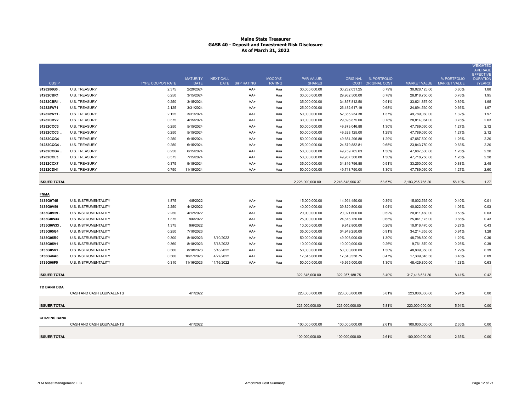| <b>CUSIP</b>         |                             |                           | <b>MATURITY</b>          | <b>NEXT CALL</b> |                        | <b>MOODYS'</b>       | <b>PAR VALUE/</b>              | <b>ORIGINAL</b>  | % PORTFOLIO                 |                                      | % PORTFOLIO                  | WEIGHTED<br><b>AVERAGE</b><br><b>EFFECTIVE</b><br><b>DURATION</b> |
|----------------------|-----------------------------|---------------------------|--------------------------|------------------|------------------------|----------------------|--------------------------------|------------------|-----------------------------|--------------------------------------|------------------------------|-------------------------------------------------------------------|
| 9128286G0            | <b>U.S. TREASURY</b>        | TYPE COUPON RATE<br>2.375 | <b>DATE</b><br>2/29/2024 |                  | DATE S&P RATING<br>AA+ | <b>RATING</b><br>Aaa | <b>SHARES</b><br>30,000,000.00 | 30,232,031.25    | COST ORIGINAL COST<br>0.79% | <b>MARKET VALUE</b><br>30,028,125.00 | <b>MARKET VALUE</b><br>0.80% | (YEARS)<br>1.88                                                   |
| 91282CBR1            | <b>U.S. TREASURY</b>        | 0.250                     | 3/15/2024                |                  | AA+                    | Aaa                  | 30,000,000.00                  | 29,962,500.00    | 0.78%                       | 28,818,750.00                        | 0.76%                        | 1.95                                                              |
| 91282CBR1            | <b>U.S. TREASURY</b>        | 0.250                     | 3/15/2024                |                  | AA+                    | Aaa                  | 35,000,000.00                  | 34,857,812.50    | 0.91%                       | 33,621,875.00                        | 0.89%                        | 1.95                                                              |
| 912828W71            | <b>U.S. TREASURY</b>        | 2.125                     | 3/31/2024                |                  | AA+                    | Aaa                  | 25,000,000.00                  | 26, 182, 617. 19 | 0.68%                       | 24,894,530.00                        | 0.66%                        | 1.97                                                              |
| 912828W71.           | <b>U.S. TREASURY</b>        | 2.125                     | 3/31/2024                |                  | AA+                    | Aaa                  | 50,000,000.00                  | 52,365,234.38    | 1.37%                       | 49,789,060.00                        | 1.32%                        | 1.97                                                              |
| 91282CBV2            | U.S. TREASURY               | 0.375                     | 4/15/2024                |                  | AA+                    | Aaa                  | 30,000,000.00                  | 29,896,875.00    | 0.78%                       | 28,814,064.00                        | 0.76%                        | 2.03                                                              |
| 91282CCC3            | <b>U.S. TREASURY</b>        | 0.250                     | 5/15/2024                |                  | AA+                    | Aaa                  | 50,000,000.00                  | 49,873,046.88    | 1.30%                       | 47,789,060.00                        | 1.27%                        | 2.12                                                              |
| 91282CCC3            | <b>U.S. TREASURY</b>        | 0.250                     | 5/15/2024                |                  | AA+                    | Aaa                  | 50,000,000.00                  | 49,328,125.00    | 1.29%                       | 47,789,060.00                        | 1.27%                        | 2.12                                                              |
| 91282CCG4            | <b>U.S. TREASURY</b>        | 0.250                     | 6/15/2024                |                  | AA+                    | Aaa                  | 50,000,000.00                  | 49,654,296.88    | 1.29%                       | 47,687,500.00                        | 1.26%                        | 2.20                                                              |
| 91282CCG4.           | <b>U.S. TREASURY</b>        | 0.250                     | 6/15/2024                |                  | AA+                    | Aaa                  | 25,000,000.00                  | 24,879,882.81    | 0.65%                       | 23,843,750.00                        | 0.63%                        | 2.20                                                              |
| 91282CCG4            | <b>U.S. TREASURY</b>        | 0.250                     | 6/15/2024                |                  | AA+                    | Aaa                  | 50,000,000.00                  | 49,759,765.63    | 1.30%                       | 47,687,500.00                        | 1.26%                        | 2.20                                                              |
| 91282CCL3            | <b>U.S. TREASURY</b>        | 0.375                     | 7/15/2024                |                  | AA+                    | Aaa                  | 50,000,000.00                  | 49,937,500.00    | 1.30%                       | 47,718,750.00                        | 1.26%                        | 2.28                                                              |
| 91282CCX7            | <b>U.S. TREASURY</b>        | 0.375                     | 9/15/2024                |                  | AA+                    | Aaa                  | 35,000,000.00                  | 34,816,796.88    | 0.91%                       | 33,250,000.00                        | 0.88%                        | 2.45                                                              |
| 91282CDH1            | <b>U.S. TREASURY</b>        | 0.750                     | 11/15/2024               |                  | AA+                    | Aaa                  | 50,000,000.00                  | 49,718,750.00    | 1.30%                       | 47,789,060.00                        | 1.27%                        | 2.60                                                              |
|                      |                             |                           |                          |                  |                        |                      |                                |                  |                             |                                      |                              |                                                                   |
| <b>ISSUER TOTAL</b>  |                             |                           |                          |                  |                        |                      | 2,226,000,000.00               | 2,246,548,906.37 | 58.57%                      | 2,193,265,765.20                     | 58.10%                       | 1.27                                                              |
| <b>FNMA</b>          |                             |                           |                          |                  |                        |                      |                                |                  |                             |                                      |                              |                                                                   |
| 3135G0T45            | U.S. INSTRUMENTALITY        | 1.875                     | 4/5/2022                 |                  | AA+                    | Aaa                  | 15,000,000.00                  | 14,994,450.00    | 0.39%                       | 15,002,535.00                        | 0.40%                        | 0.01                                                              |
| 3135G0V59            | U.S. INSTRUMENTALITY        | 2.250                     | 4/12/2022                |                  | AA+                    | Aaa                  | 40,000,000.00                  | 39,820,800.00    | 1.04%                       | 40,022,920.00                        | 1.06%                        | 0.03                                                              |
| 3135G0V59            | U.S. INSTRUMENTALITY        | 2.250                     | 4/12/2022                |                  | AA+                    | Aaa                  | 20,000,000.00                  | 20,021,600.00    | 0.52%                       | 20,011,460.00                        | 0.53%                        | 0.03                                                              |
| 3135G0W33            | U.S. INSTRUMENTALITY        | 1.375                     | 9/6/2022                 |                  | AA+                    | Aaa                  | 25,000,000.00                  | 24,816,750.00    | 0.65%                       | 25,041,175.00                        | 0.66%                        | 0.43                                                              |
| 3135G0W33            | U.S. INSTRUMENTALITY        | 1.375                     | 9/6/2022                 |                  | AA+                    | Aaa                  | 10,000,000.00                  | 9,912,800.00     | 0.26%                       | 10,016,470.00                        | 0.27%                        | 0.43                                                              |
| 3135G05G4            | U.S. INSTRUMENTALITY        | 0.250                     | 7/10/2023                |                  | AA+                    | Aaa                  | 35,000,000.00                  | 34,949,250.00    | 0.91%                       | 34,214,355.00                        | 0.91%                        | 1.28                                                              |
| 3135G05R0            | U.S. INSTRUMENTALITY        | 0.300                     | 8/10/2023                | 8/10/2022        | AA+                    | Aaa                  | 50,000,000.00                  | 49,906,000.00    | 1.30%                       | 48,798,800.00                        | 1.29%                        | 0.36                                                              |
| 3135G05V1            | U.S. INSTRUMENTALITY        | 0.360                     | 8/18/2023                | 5/18/2022        | AA+                    | Aaa                  | 10,000,000.00                  | 10,000,000.00    | 0.26%                       | 9,761,870.00                         | 0.26%                        | 0.39                                                              |
| 3135G05V1.           | <b>U.S. INSTRUMENTALITY</b> | 0.360                     | 8/18/2023                | 5/18/2022        | AA+                    | Aaa                  | 50,000,000.00                  | 50,000,000.00    | 1.30%                       | 48,809,350.00                        | 1.29%                        | 0.39                                                              |
| 3136G46A6            | U.S. INSTRUMENTALITY        | 0.300                     | 10/27/2023               | 4/27/2022        | AA+                    | Aaa                  | 17,845,000.00                  | 17,840,538.75    | 0.47%                       | 17,309,846.30                        | 0.46%                        | 0.09                                                              |
| 3135G06F5            | <b>U.S. INSTRUMENTALITY</b> | 0.310                     | 11/16/2023               | 11/16/2022       | AA+                    | Aaa                  | 50,000,000.00                  | 49,995,000.00    | 1.30%                       | 48,429,800.00                        | 1.28%                        | 0.63                                                              |
| <b>ISSUER TOTAL</b>  |                             |                           |                          |                  |                        |                      | 322,845,000.00                 | 322, 257, 188.75 | 8.40%                       | 317,418,581.30                       | 8.41%                        | 0.42                                                              |
| <b>TD BANK DDA</b>   |                             |                           |                          |                  |                        |                      |                                |                  |                             |                                      |                              |                                                                   |
|                      | CASH AND CASH EQUIVALENTS   |                           | 4/1/2022                 |                  |                        |                      | 223,000,000.00                 | 223,000,000.00   | 5.81%                       | 223,000,000.00                       | 5.91%                        | 0.00                                                              |
| <b>ISSUER TOTAL</b>  |                             |                           |                          |                  |                        |                      | 223,000,000.00                 | 223,000,000.00   | 5.81%                       | 223,000,000.00                       | 5.91%                        | 0.00                                                              |
| <b>CITIZENS BANK</b> | CASH AND CASH EQUIVALENTS   |                           | 4/1/2022                 |                  |                        |                      | 100,000,000.00                 | 100,000,000.00   | 2.61%                       | 100,000,000.00                       | 2.65%                        | 0.00                                                              |
| <b>ISSUER TOTAL</b>  |                             |                           |                          |                  |                        |                      | 100,000,000.00                 | 100,000,000.00   | 2.61%                       | 100,000,000.00                       | 2.65%                        | 0.00                                                              |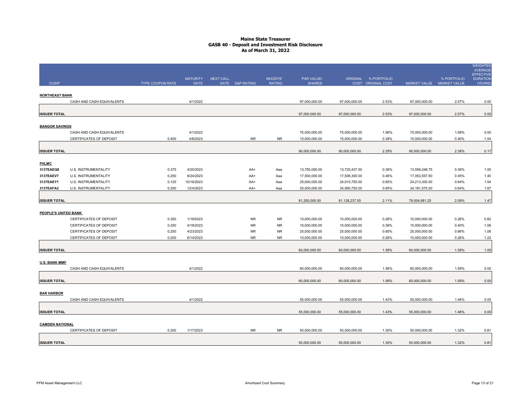| <b>CUSIP</b>           |                                                     | TYPE COUPON RATE | <b>MATURITY</b><br><b>DATE</b> | <b>NEXT CALL</b> | DATE S&P RATING | MOODYS'<br><b>RATING</b> | PAR VALUE/<br><b>SHARES</b>    |                                | ORIGINAL % PORTFOLIO<br>COST ORIGINAL COST | MARKET VALUE MARKET VALUE      | % PORTFOLIO    | <b>WEIGHTED</b><br>AVERAGE<br><b>EFFECTIVE</b><br><b>DURATION</b><br>(YEARS) |
|------------------------|-----------------------------------------------------|------------------|--------------------------------|------------------|-----------------|--------------------------|--------------------------------|--------------------------------|--------------------------------------------|--------------------------------|----------------|------------------------------------------------------------------------------|
|                        |                                                     |                  |                                |                  |                 |                          |                                |                                |                                            |                                |                |                                                                              |
| <b>NORTHEAST BANK</b>  |                                                     |                  |                                |                  |                 |                          |                                |                                |                                            |                                |                |                                                                              |
|                        | CASH AND CASH EQUIVALENTS                           |                  | 4/1/2022                       |                  |                 |                          | 97,000,000.00                  | 97,000,000.00                  | 2.53%                                      | 97,000,000.00                  | 2.57%          | 0.00                                                                         |
| <b>ISSUER TOTAL</b>    |                                                     |                  |                                |                  |                 |                          | 97,000,000.00                  | 97,000,000.00                  | 2.53%                                      | 97,000,000.00                  | 2.57%          | 0.00                                                                         |
| <b>BANGOR SAVINGS</b>  |                                                     |                  |                                |                  |                 |                          |                                |                                |                                            |                                |                |                                                                              |
|                        | CASH AND CASH EQUIVALENTS                           |                  | 4/1/2022                       |                  |                 |                          | 75,000,000.00                  | 75,000,000.00                  | 1.96%                                      | 75,000,000.00                  | 1.99%          | 0.00                                                                         |
|                        | CERTIFICATES OF DEPOSIT                             | 0.400            | 4/8/2023                       |                  | <b>NR</b>       | <b>NR</b>                | 15,000,000.00                  | 15,000,000.00                  | 0.39%                                      | 15,000,000.00                  | 0.40%          | 1.04                                                                         |
|                        |                                                     |                  |                                |                  |                 |                          |                                |                                |                                            |                                |                |                                                                              |
| <b>ISSUER TOTAL</b>    |                                                     |                  |                                |                  |                 |                          | 90,000,000.00                  | 90,000,000.00                  | 2.35%                                      | 90,000,000.00                  | 2.38%          | 0.17                                                                         |
|                        |                                                     |                  |                                |                  |                 |                          |                                |                                |                                            |                                |                |                                                                              |
| <b>FHLMC</b>           |                                                     |                  |                                |                  |                 |                          |                                |                                |                                            |                                |                |                                                                              |
| 3137EAEQ8              | U.S. INSTRUMENTALITY                                | 0.375            | 4/20/2023                      |                  | AA+             | Aaa                      | 13,750,000.00                  | 13,720,437.50                  | 0.36%                                      | 13,556,248.75                  | 0.36%          | 1.05                                                                         |
| 3137EAEV7<br>3137EAEY1 | <b>U.S. INSTRUMENTALITY</b><br>U.S. INSTRUMENTALITY | 0.250<br>0.125   | 8/24/2023<br>10/16/2023        |                  | AA+<br>AA+      | Aaa<br>Aaa               | 17,500,000.00<br>25,000,000.00 | 17,506,300.00<br>24,910,750.00 | 0.46%<br>0.65%                             | 17,053,557.50<br>24,213,300.00 | 0.45%<br>0.64% | 1.40<br>1.54                                                                 |
| 3137EAFA2              | U.S. INSTRUMENTALITY                                | 0.250            | 12/4/2023                      |                  | AA+             | Aaa                      | 25,000,000.00                  | 24,990,750.00                  | 0.65%                                      | 24, 181, 575.00                | 0.64%          | 1.67                                                                         |
|                        |                                                     |                  |                                |                  |                 |                          |                                |                                |                                            |                                |                |                                                                              |
| <b>ISSUER TOTAL</b>    |                                                     |                  |                                |                  |                 |                          | 81,250,000.00                  | 81,128,237.50                  | 2.11%                                      | 79,004,681.25                  | 2.09%          | 1.47                                                                         |
|                        |                                                     |                  |                                |                  |                 |                          |                                |                                |                                            |                                |                |                                                                              |
| PEOPLE'S UNITED BANK   |                                                     |                  |                                |                  |                 |                          |                                |                                |                                            |                                |                |                                                                              |
|                        | CERTIFICATES OF DEPOSIT                             | 0.350            | 1/19/2023                      |                  | <b>NR</b>       | <b>NR</b>                | 10,000,000.00                  | 10,000,000.00                  | 0.26%                                      | 10,000,000.00                  | 0.26%          | 0.82                                                                         |
|                        | CERTIFICATES OF DEPOSIT                             | 0.250            | 4/18/2023                      |                  | <b>NR</b>       | <b>NR</b>                | 15,000,000.00                  | 15,000,000.00                  | 0.39%                                      | 15,000,000.00                  | 0.40%          | 1.06                                                                         |
|                        | <b>CERTIFICATES OF DEPOSIT</b>                      | 0.250            | 4/23/2023                      |                  | <b>NR</b>       | <b>NR</b>                | 25,000,000.00                  | 25,000,000.00                  | 0.65%                                      | 25,000,000.00                  | 0.66%          | 1.08                                                                         |
|                        | CERTIFICATES OF DEPOSIT                             | 0.200            | 6/14/2023                      |                  | ${\sf NR}$      | <b>NR</b>                | 10,000,000.00                  | 10,000,000.00                  | 0.26%                                      | 10,000,000.00                  | 0.26%          | 1.22                                                                         |
|                        |                                                     |                  |                                |                  |                 |                          |                                |                                |                                            |                                |                |                                                                              |
| <b>ISSUER TOTAL</b>    |                                                     |                  |                                |                  |                 |                          | 60,000,000.00                  | 60,000,000.00                  | 1.56%                                      | 60,000,000.00                  | 1.59%          | 1.05                                                                         |
| <b>U.S. BANK MMF</b>   |                                                     |                  |                                |                  |                 |                          |                                |                                |                                            |                                |                |                                                                              |
|                        | CASH AND CASH EQUIVALENTS                           |                  | 4/1/2022                       |                  |                 |                          | 60,000,000.00                  | 60,000,000.00                  | 1.56%                                      | 60,000,000.00                  | 1.59%          | 0.00                                                                         |
|                        |                                                     |                  |                                |                  |                 |                          |                                |                                |                                            |                                |                |                                                                              |
| <b>ISSUER TOTAL</b>    |                                                     |                  |                                |                  |                 |                          | 60,000,000.00                  | 60,000,000.00                  | 1.56%                                      | 60,000,000.00                  | 1.59%          | 0.00                                                                         |
|                        |                                                     |                  |                                |                  |                 |                          |                                |                                |                                            |                                |                |                                                                              |
| <b>BAR HARBOR</b>      |                                                     |                  |                                |                  |                 |                          |                                |                                |                                            |                                |                |                                                                              |
|                        | CASH AND CASH EQUIVALENTS                           |                  | 4/1/2022                       |                  |                 |                          | 55,000,000.00                  | 55,000,000.00                  | 1.43%                                      | 55,000,000.00                  | 1.46%          | 0.00                                                                         |
|                        |                                                     |                  |                                |                  |                 |                          |                                |                                |                                            |                                |                |                                                                              |
| <b>ISSUER TOTAL</b>    |                                                     |                  |                                |                  |                 |                          | 55,000,000.00                  | 55,000,000.00                  | 1.43%                                      | 55,000,000.00                  | 1.46%          | 0.00                                                                         |
|                        |                                                     |                  |                                |                  |                 |                          |                                |                                |                                            |                                |                |                                                                              |
| <b>CAMDEN NATIONAL</b> |                                                     |                  |                                |                  |                 |                          |                                |                                |                                            |                                |                |                                                                              |
|                        | CERTIFICATES OF DEPOSIT                             | 0.200            | 1/17/2023                      |                  | <b>NR</b>       | <b>NR</b>                | 50,000,000.00                  | 50,000,000.00                  | 1.30%                                      | 50,000,000.00                  | 1.32%          | 0.81                                                                         |
|                        |                                                     |                  |                                |                  |                 |                          |                                |                                |                                            |                                |                |                                                                              |
| <b>ISSUER TOTAL</b>    |                                                     |                  |                                |                  |                 |                          | 50,000,000.00                  | 50,000,000.00                  | 1.30%                                      | 50,000,000.00                  | 1.32%          | 0.81                                                                         |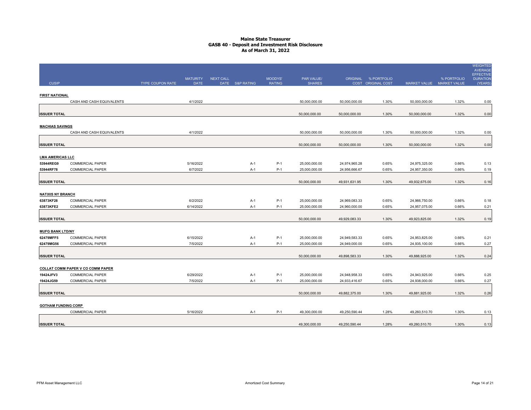|                            |                                             |                         |                                |                  |                 |                          |                                |                                |                                            |                                |                | <b>WEIGHTED</b><br><b>AVERAGE</b>              |
|----------------------------|---------------------------------------------|-------------------------|--------------------------------|------------------|-----------------|--------------------------|--------------------------------|--------------------------------|--------------------------------------------|--------------------------------|----------------|------------------------------------------------|
| <b>CUSIP</b>               |                                             | <b>TYPE COUPON RATE</b> | <b>MATURITY</b><br><b>DATE</b> | <b>NEXT CALL</b> | DATE S&P RATING | MOODYS'<br><b>RATING</b> | PAR VALUE/<br><b>SHARES</b>    |                                | ORIGINAL % PORTFOLIO<br>COST ORIGINAL COST | MARKET VALUE MARKET VALUE      | % PORTFOLIO    | <b>EFFECTIVE</b><br><b>DURATION</b><br>(YEARS) |
| <b>FIRST NATIONAL</b>      |                                             |                         |                                |                  |                 |                          |                                |                                |                                            |                                |                |                                                |
|                            | CASH AND CASH EQUIVALENTS                   |                         | 4/1/2022                       |                  |                 |                          | 50,000,000.00                  | 50,000,000.00                  | 1.30%                                      | 50,000,000.00                  | 1.32%          | 0.00                                           |
|                            |                                             |                         |                                |                  |                 |                          |                                |                                |                                            |                                |                |                                                |
| <b>ISSUER TOTAL</b>        |                                             |                         |                                |                  |                 |                          | 50,000,000.00                  | 50,000,000.00                  | 1.30%                                      | 50,000,000.00                  | 1.32%          | 0.00                                           |
|                            |                                             |                         |                                |                  |                 |                          |                                |                                |                                            |                                |                |                                                |
| <b>MACHIAS SAVINGS</b>     |                                             |                         |                                |                  |                 |                          |                                |                                |                                            |                                |                |                                                |
|                            | CASH AND CASH EQUIVALENTS                   |                         | 4/1/2022                       |                  |                 |                          | 50,000,000.00                  | 50,000,000.00                  | 1.30%                                      | 50,000,000.00                  | 1.32%          | 0.00                                           |
| <b>ISSUER TOTAL</b>        |                                             |                         |                                |                  |                 |                          | 50,000,000.00                  | 50,000,000.00                  | 1.30%                                      | 50,000,000.00                  | 1.32%          | 0.00                                           |
|                            |                                             |                         |                                |                  |                 |                          |                                |                                |                                            |                                |                |                                                |
| <b>LMA AMERICAS LLC</b>    |                                             |                         |                                |                  |                 |                          |                                |                                |                                            |                                |                |                                                |
| 53944REG9                  | <b>COMMERCIAL PAPER</b>                     |                         | 5/16/2022                      |                  | $A-1$           | $P-1$                    | 25,000,000.00                  | 24,974,965.28                  | 0.65%                                      | 24,975,325.00                  | 0.66%          | 0.13                                           |
| 53944RF78                  | <b>COMMERCIAL PAPER</b>                     |                         | 6/7/2022                       |                  | $A-1$           | $P-1$                    | 25,000,000.00                  | 24,956,666.67                  | 0.65%                                      | 24,957,350.00                  | 0.66%          | 0.19                                           |
|                            |                                             |                         |                                |                  |                 |                          |                                |                                |                                            |                                |                |                                                |
| <b>ISSUER TOTAL</b>        |                                             |                         |                                |                  |                 |                          | 50,000,000.00                  | 49,931,631.95                  | 1.30%                                      | 49,932,675.00                  | 1.32%          | 0.16                                           |
| <b>NATIXIS NY BRANCH</b>   |                                             |                         |                                |                  |                 |                          |                                |                                |                                            |                                |                |                                                |
| 63873KF28                  | <b>COMMERCIAL PAPER</b>                     |                         | 6/2/2022                       |                  | $A-1$           | $P-1$                    | 25,000,000.00                  | 24,969,083.33                  | 0.65%                                      | 24,966,750.00                  | 0.66%          | 0.18                                           |
| 63873KFE2                  | <b>COMMERCIAL PAPER</b>                     |                         | 6/14/2022                      |                  | $A-1$           | $P-1$                    | 25,000,000.00                  | 24,960,000.00                  | 0.65%                                      | 24,957,075.00                  | 0.66%          | 0.21                                           |
|                            |                                             |                         |                                |                  |                 |                          |                                |                                |                                            |                                |                |                                                |
| <b>ISSUER TOTAL</b>        |                                             |                         |                                |                  |                 |                          | 50,000,000.00                  | 49,929,083.33                  | 1.30%                                      | 49,923,825.00                  | 1.32%          | 0.19                                           |
|                            |                                             |                         |                                |                  |                 |                          |                                |                                |                                            |                                |                |                                                |
| <b>MUFG BANK LTD/NY</b>    |                                             |                         |                                |                  |                 |                          |                                |                                |                                            |                                |                |                                                |
| 62479MFF5<br>62479MG56     | <b>COMMERCIAL PAPER</b><br>COMMERCIAL PAPER |                         | 6/15/2022<br>7/5/2022          |                  | $A-1$<br>$A-1$  | $P-1$<br>$P-1$           | 25,000,000.00<br>25,000,000.00 | 24,949,583.33<br>24,949,000.00 | 0.65%<br>0.65%                             | 24,953,825.00<br>24,935,100.00 | 0.66%<br>0.66% | 0.21<br>0.27                                   |
|                            |                                             |                         |                                |                  |                 |                          |                                |                                |                                            |                                |                |                                                |
| <b>ISSUER TOTAL</b>        |                                             |                         |                                |                  |                 |                          | 50,000,000.00                  | 49,898,583.33                  | 1.30%                                      | 49,888,925.00                  | 1.32%          | 0.24                                           |
|                            |                                             |                         |                                |                  |                 |                          |                                |                                |                                            |                                |                |                                                |
|                            | <b>COLLAT COMM PAPER V CO COMM PAPER</b>    |                         |                                |                  |                 |                          |                                |                                |                                            |                                |                |                                                |
| 19424JFV3                  | <b>COMMERCIAL PAPER</b>                     |                         | 6/29/2022                      |                  | $A-1$           | $P-1$                    | 25,000,000.00                  | 24,948,958.33                  | 0.65%                                      | 24,943,925.00                  | 0.66%          | 0.25                                           |
| 19424JG59                  | <b>COMMERCIAL PAPER</b>                     |                         | 7/5/2022                       |                  | $A-1$           | $P-1$                    | 25,000,000.00                  | 24,933,416.67                  | 0.65%                                      | 24,938,000.00                  | 0.66%          | 0.27                                           |
| <b>ISSUER TOTAL</b>        |                                             |                         |                                |                  |                 |                          |                                |                                | 1.30%                                      |                                | 1.32%          | 0.26                                           |
|                            |                                             |                         |                                |                  |                 |                          | 50,000,000.00                  | 49,882,375.00                  |                                            | 49,881,925.00                  |                |                                                |
| <b>GOTHAM FUNDING CORP</b> |                                             |                         |                                |                  |                 |                          |                                |                                |                                            |                                |                |                                                |
|                            | <b>COMMERCIAL PAPER</b>                     |                         | 5/16/2022                      |                  | A-1             | P-1                      | 49,300,000.00                  | 49,250,590.44                  | 1.28%                                      | 49,260,510.70                  | 1.30%          | 0.13                                           |
|                            |                                             |                         |                                |                  |                 |                          |                                |                                |                                            |                                |                |                                                |
| <b>ISSUER TOTAL</b>        |                                             |                         |                                |                  |                 |                          | 49,300,000.00                  | 49,250,590.44                  | 1.28%                                      | 49,260,510.70                  | 1.30%          | 0.13                                           |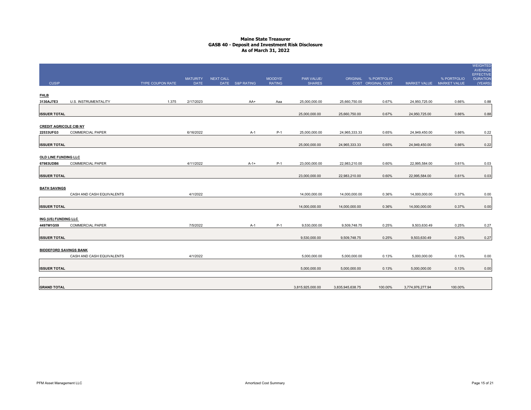|                               |                           |                         |                 |                  |                 |               |                  |                  |                      |                  |                           | <b>WEIGHTED</b><br>AVERAGE          |
|-------------------------------|---------------------------|-------------------------|-----------------|------------------|-----------------|---------------|------------------|------------------|----------------------|------------------|---------------------------|-------------------------------------|
|                               |                           |                         | <b>MATURITY</b> | <b>NEXT CALL</b> |                 | MOODYS'       | PAR VALUE/       |                  | ORIGINAL % PORTFOLIO |                  | % PORTFOLIO               | <b>EFFECTIVE</b><br><b>DURATION</b> |
| <b>CUSIP</b>                  |                           | <b>TYPE COUPON RATE</b> | <b>DATE</b>     |                  | DATE S&P RATING | <b>RATING</b> | <b>SHARES</b>    |                  | COST ORIGINAL COST   |                  | MARKET VALUE MARKET VALUE | (YEARS)                             |
|                               |                           |                         |                 |                  |                 |               |                  |                  |                      |                  |                           |                                     |
| <b>FHLB</b><br>3130AJ7E3      | U.S. INSTRUMENTALITY      | 1.375                   | 2/17/2023       |                  | AA+             | Aaa           | 25,000,000.00    | 25,660,750.00    | 0.67%                | 24,950,725.00    | 0.66%                     | 0.88                                |
|                               |                           |                         |                 |                  |                 |               |                  |                  |                      |                  |                           |                                     |
| <b>ISSUER TOTAL</b>           |                           |                         |                 |                  |                 |               | 25,000,000.00    | 25,660,750.00    | 0.67%                | 24,950,725.00    | 0.66%                     | 0.88                                |
|                               |                           |                         |                 |                  |                 |               |                  |                  |                      |                  |                           |                                     |
| <b>CREDIT AGRICOLE CIB NY</b> |                           |                         |                 |                  |                 |               |                  |                  |                      |                  |                           |                                     |
| 22533UFG3                     | <b>COMMERCIAL PAPER</b>   |                         | 6/16/2022       |                  | A-1             | P-1           | 25,000,000.00    | 24,965,333.33    | 0.65%                | 24,949,450.00    | 0.66%                     | 0.22                                |
|                               |                           |                         |                 |                  |                 |               |                  |                  |                      |                  |                           |                                     |
| <b>ISSUER TOTAL</b>           |                           |                         |                 |                  |                 |               | 25,000,000.00    | 24,965,333.33    | 0.65%                | 24,949,450.00    | 0.66%                     | 0.22                                |
|                               |                           |                         |                 |                  |                 |               |                  |                  |                      |                  |                           |                                     |
| OLD LINE FUNDING LLC          |                           |                         |                 |                  |                 |               |                  |                  |                      |                  |                           |                                     |
| 67983UDB6                     | <b>COMMERCIAL PAPER</b>   |                         | 4/11/2022       |                  | $A-1+$          | P-1           | 23,000,000.00    | 22,983,210.00    | 0.60%                | 22,995,584.00    | 0.61%                     | 0.03                                |
|                               |                           |                         |                 |                  |                 |               |                  |                  |                      |                  |                           |                                     |
| <b>ISSUER TOTAL</b>           |                           |                         |                 |                  |                 |               | 23,000,000.00    | 22,983,210.00    | 0.60%                | 22,995,584.00    | 0.61%                     | 0.03                                |
| <b>BATH SAVINGS</b>           |                           |                         |                 |                  |                 |               |                  |                  |                      |                  |                           |                                     |
|                               | CASH AND CASH EQUIVALENTS |                         | 4/1/2022        |                  |                 |               | 14,000,000.00    | 14,000,000.00    | 0.36%                | 14,000,000.00    | 0.37%                     | 0.00                                |
|                               |                           |                         |                 |                  |                 |               |                  |                  |                      |                  |                           |                                     |
| <b>ISSUER TOTAL</b>           |                           |                         |                 |                  |                 |               | 14,000,000.00    | 14,000,000.00    | 0.36%                | 14,000,000.00    | 0.37%                     | 0.00                                |
|                               |                           |                         |                 |                  |                 |               |                  |                  |                      |                  |                           |                                     |
| ING (US) FUNDING LLC          |                           |                         |                 |                  |                 |               |                  |                  |                      |                  |                           |                                     |
| 4497W1G59                     | COMMERCIAL PAPER          |                         | 7/5/2022        |                  | A-1             | P-1           | 9,530,000.00     | 9,509,748.75     | 0.25%                | 9,503,630.49     | 0.25%                     | 0.27                                |
|                               |                           |                         |                 |                  |                 |               |                  |                  |                      |                  |                           |                                     |
| <b>ISSUER TOTAL</b>           |                           |                         |                 |                  |                 |               | 9,530,000.00     | 9,509,748.75     | 0.25%                | 9,503,630.49     | 0.25%                     | 0.27                                |
|                               |                           |                         |                 |                  |                 |               |                  |                  |                      |                  |                           |                                     |
| <b>BIDDEFORD SAVINGS BANK</b> |                           |                         |                 |                  |                 |               |                  |                  |                      |                  |                           |                                     |
|                               | CASH AND CASH EQUIVALENTS |                         | 4/1/2022        |                  |                 |               | 5,000,000.00     | 5,000,000.00     | 0.13%                | 5,000,000.00     | 0.13%                     | 0.00                                |
| <b>ISSUER TOTAL</b>           |                           |                         |                 |                  |                 |               | 5,000,000.00     | 5,000,000.00     | 0.13%                | 5,000,000.00     | 0.13%                     | 0.00                                |
|                               |                           |                         |                 |                  |                 |               |                  |                  |                      |                  |                           |                                     |
|                               |                           |                         |                 |                  |                 |               |                  |                  |                      |                  |                           |                                     |
| <b>GRAND TOTAL</b>            |                           |                         |                 |                  |                 |               | 3,815,925,000.00 | 3,835,945,638.75 | 100.00%              | 3,774,976,277.94 | 100.00%                   |                                     |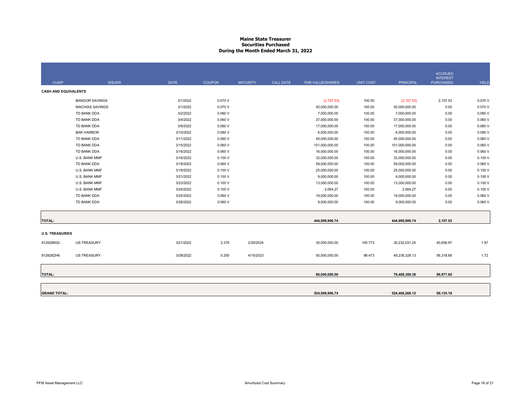# **Maine State Treasurer Securities PurchasedDuring the Month Ended March 31, 2022**

| <b>CUSIP</b>                | <b>ISSUER</b>          | <b>DATE</b> | <b>COUPON</b> | <b>MATURITY</b> | <b>CALL DATE</b> | PAR VALUE/SHARES | <b>UNIT COST</b> | <b>PRINCIPAL</b> | <b>ACCRUED</b><br><b>INTEREST</b><br><b>PURCHASED</b> | <b>YIELD</b> |
|-----------------------------|------------------------|-------------|---------------|-----------------|------------------|------------------|------------------|------------------|-------------------------------------------------------|--------------|
| <b>CASH AND EQUIVALENTS</b> |                        |             |               |                 |                  |                  |                  |                  |                                                       |              |
|                             | <b>BANGOR SAVINGS</b>  | 3/1/2022    | 0.070 V       |                 |                  | (2, 157.53)      | 100.00           | (2, 157.53)      | 2,157.53                                              | 0.070 V      |
|                             | <b>MACHIAS SAVINGS</b> | 3/1/2022    | 0.070 V       |                 |                  | 50,000,000.00    | 100.00           | 50,000,000.00    | 0.00                                                  | 0.070 V      |
|                             | TD BANK DDA            | 3/2/2022    | 0.060V        |                 |                  | 7,000,000.00     | 100.00           | 7,000,000.00     | 0.00                                                  | 0.060V       |
|                             | TD BANK DDA            | 3/4/2022    | 0.060V        |                 |                  | 37,000,000.00    | 100.00           | 37,000,000.00    | 0.00                                                  | 0.060V       |
|                             | TD BANK DDA            | 3/9/2022    | 0.060V        |                 |                  | 17,000,000.00    | 100.00           | 17,000,000.00    | 0.00                                                  | 0.060V       |
|                             | <b>BAR HARBOR</b>      | 3/10/2022   | 0.080V        |                 |                  | 6,000,000.00     | 100.00           | 6,000,000.00     | 0.00                                                  | 0.080V       |
|                             | TD BANK DDA            | 3/11/2022   | 0.060V        |                 |                  | 45,000,000.00    | 100.00           | 45,000,000.00    | 0.00                                                  | 0.060V       |
|                             | TD BANK DDA            | 3/15/2022   | 0.060V        |                 |                  | 101,000,000.00   | 100.00           | 101,000,000.00   | 0.00                                                  | 0.060V       |
|                             | TD BANK DDA            | 3/16/2022   | 0.060V        |                 |                  | 16,000,000.00    | 100.00           | 16,000,000.00    | 0.00                                                  | 0.060V       |
|                             | U.S. BANK MMF          | 3/16/2022   | 0.100V        |                 |                  | 32,000,000.00    | 100.00           | 32,000,000.00    | 0.00                                                  | 0.100V       |
|                             | TD BANK DDA            | 3/18/2022   | 0.060V        |                 |                  | 59,000,000.00    | 100.00           | 59,000,000.00    | 0.00                                                  | 0.060V       |
|                             | U.S. BANK MMF          | 3/18/2022   | 0.100V        |                 |                  | 25,000,000.00    | 100.00           | 25,000,000.00    | 0.00                                                  | 0.100V       |
|                             | U.S. BANK MMF          | 3/21/2022   | 0.100V        |                 |                  | 9,000,000.00     | 100.00           | 9,000,000.00     | 0.00                                                  | 0.100V       |
|                             | U.S. BANK MMF          | 3/23/2022   | 0.100V        |                 |                  | 13,000,000.00    | 100.00           | 13,000,000.00    | 0.00                                                  | 0.100V       |
|                             | U.S. BANK MMF          | 3/24/2022   | 0.100V        |                 |                  | 2,064.27         | 100.00           | 2,064.27         | 0.00                                                  | 0.100V       |
|                             | TD BANK DDA            | 3/25/2022   | 0.060V        |                 |                  | 19,000,000.00    | 100.00           | 19,000,000.00    | 0.00                                                  | 0.060V       |
|                             | TD BANK DDA            | 3/28/2022   | 0.060V        |                 |                  | 9,000,000.00     | 100.00           | 9,000,000.00     | 0.00                                                  | 0.060V       |
| <b>TOTAL:</b>               |                        |             |               |                 |                  | 444,999,906.74   |                  | 444,999,906.74   | 2,157.53                                              |              |
| <b>U.S. TREASURIES</b>      |                        |             |               |                 |                  |                  |                  |                  |                                                       |              |
| 9128286G0.                  | <b>US TREASURY</b>     | 3/21/2022   | 2.375         | 2/29/2024       |                  | 30,000,000.00    | 100.773          | 30,232,031.25    | 40,658.97                                             | 1.97         |
| 912828ZH6                   | <b>US TREASURY</b>     | 3/28/2022   | 0.250         | 4/15/2023       |                  | 50,000,000.00    | 98.473           | 49,236,328.13    | 56,318.68                                             | 1.72         |
| <b>TOTAL:</b>               |                        |             |               |                 |                  | 80,000,000.00    |                  | 79,468,359.38    | 96,977.65                                             |              |
|                             |                        |             |               |                 |                  |                  |                  |                  |                                                       |              |
| <b>GRAND TOTAL:</b>         |                        |             |               |                 |                  | 524,999,906.74   |                  | 524,468,266.12   | 99,135.18                                             |              |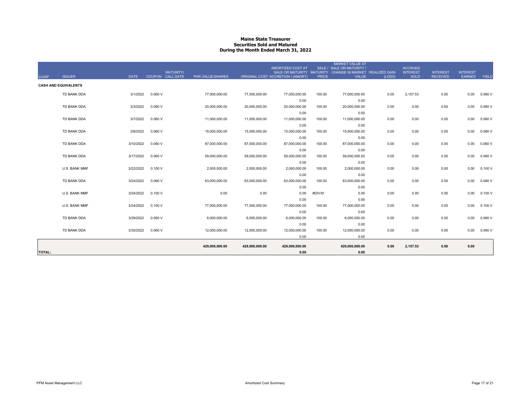#### **Maine State Treasurer Securities Sold and MaturedDuring the Month Ended March 31, 2022**

| <b>CUSIP</b>  | <b>ISSUER</b>               | <b>DATE</b> | <b>MATURITY/</b><br>COUPON CALL DATE | <b>PAR VALUE/SHARES</b> |                | AMORTIZED COST AT<br>ORIGINAL COST ACCRETION / (AMORT) | <b>PRICE</b> | <b>MARKET VALUE AT</b><br>SALE / SALE OR MATURITY /<br>SALE OR MATURITY MATURITY CHANGE IN MARKET REALIZED GAIN<br><b>VALUE</b> | (LOSS) | <b>ACCRUED</b><br><b>INTEREST</b><br><b>SOLD</b> | <b>INTEREST</b><br><b>RECEIVED</b> | <b>INTEREST</b><br>EARNED | YIELD  |
|---------------|-----------------------------|-------------|--------------------------------------|-------------------------|----------------|--------------------------------------------------------|--------------|---------------------------------------------------------------------------------------------------------------------------------|--------|--------------------------------------------------|------------------------------------|---------------------------|--------|
|               | <b>CASH AND EQUIVALENTS</b> |             |                                      |                         |                |                                                        |              |                                                                                                                                 |        |                                                  |                                    |                           |        |
|               | TD BANK DDA                 | 3/1/2022    | 0.060V                               | 77,000,000.00           | 77,000,000.00  | 77,000,000.00                                          | 100.00       | 77,000,000.00                                                                                                                   | 0.00   | 2,157.53                                         | 0.00                               | 0.00                      | 0.060V |
|               |                             |             |                                      |                         |                | 0.00                                                   |              | 0.00                                                                                                                            |        |                                                  |                                    |                           |        |
|               | TD BANK DDA                 | 3/3/2022    | 0.060V                               | 20,000,000.00           | 20,000,000.00  | 20,000,000.00                                          | 100.00       | 20,000,000.00                                                                                                                   | 0.00   | 0.00                                             | 0.00                               | 0.00                      | 0.060V |
|               |                             |             |                                      |                         |                | 0.00                                                   |              | 0.00                                                                                                                            |        |                                                  |                                    |                           |        |
|               | TD BANK DDA                 | 3/7/2022    | 0.060V                               | 11.000.000.00           | 11.000.000.00  | 11,000,000.00                                          | 100.00       | 11,000,000.00                                                                                                                   | 0.00   | 0.00                                             | 0.00                               | 0.00                      | 0.060V |
|               | TD BANK DDA                 | 3/8/2022    | 0.060V                               | 15.000.000.00           | 15,000,000.00  | 0.00<br>15,000,000.00                                  | 100.00       | 0.00<br>15,000,000.00                                                                                                           | 0.00   | 0.00                                             | 0.00                               | 0.00                      | 0.060V |
|               |                             |             |                                      |                         |                | 0.00                                                   |              | 0.00                                                                                                                            |        |                                                  |                                    |                           |        |
|               | TD BANK DDA                 | 3/10/2022   | 0.060V                               | 87,000,000.00           | 87,000,000.00  | 87,000,000.00                                          | 100.00       | 87,000,000.00                                                                                                                   | 0.00   | 0.00                                             | 0.00                               | 0.00                      | 0.060V |
|               |                             |             |                                      |                         |                | 0.00                                                   |              | 0.00                                                                                                                            |        |                                                  |                                    |                           |        |
|               | TD BANK DDA                 | 3/17/2022   | 0.060V                               | 59,000,000.00           | 59,000,000.00  | 59,000,000.00                                          | 100.00       | 59,000,000.00                                                                                                                   | 0.00   | 0.00                                             | 0.00                               | 0.00                      | 0.060V |
|               |                             |             |                                      |                         |                | 0.00                                                   |              | 0.00                                                                                                                            |        |                                                  |                                    |                           |        |
|               | U.S. BANK MMF               | 3/22/2022   | 0.100V                               | 2,000,000.00            | 2,000,000.00   | 2,000,000.00                                           | 100.00       | 2,000,000.00                                                                                                                    | 0.00   | 0.00                                             | 0.00                               | 0.00                      | 0.100V |
|               |                             |             |                                      |                         |                | 0.00                                                   |              | 0.00                                                                                                                            |        |                                                  |                                    |                           |        |
|               | TD BANK DDA                 | 3/24/2022   | 0.060V                               | 63,000,000.00           | 63,000,000.00  | 63,000,000.00                                          | 100.00       | 63,000,000.00                                                                                                                   | 0.00   | 0.00                                             | 0.00                               | 0.00                      | 0.060V |
|               | U.S. BANK MMF               | 3/24/2022   | 0.100V                               |                         |                | 0.00<br>0.00                                           | #DIV/0!      | 0.00<br>0.00                                                                                                                    |        |                                                  |                                    | 0.00                      |        |
|               |                             |             |                                      | 0.00                    | 0.00           | 0.00                                                   |              | 0.00                                                                                                                            | 0.00   | 0.00                                             | 0.00                               |                           | 0.100V |
|               | U.S. BANK MMF               | 3/24/2022   | 0.100V                               | 77,000,000.00           | 77.000.000.00  | 77,000,000.00                                          | 100.00       | 77,000,000.00                                                                                                                   | 0.00   | 0.00                                             | 0.00                               | 0.00                      | 0.100V |
|               |                             |             |                                      |                         |                | 0.00                                                   |              | 0.00                                                                                                                            |        |                                                  |                                    |                           |        |
|               | TD BANK DDA                 | 3/29/2022   | 0.060V                               | 6.000.000.00            | 6.000.000.00   | 6,000,000.00                                           | 100.00       | 6,000,000.00                                                                                                                    | 0.00   | 0.00                                             | 0.00                               | 0.00                      | 0.060V |
|               |                             |             |                                      |                         |                | 0.00                                                   |              | 0.00                                                                                                                            |        |                                                  |                                    |                           |        |
|               | TD BANK DDA                 | 3/30/2022   | 0.060V                               | 12,000,000.00           | 12,000,000.00  | 12,000,000.00                                          | 100.00       | 12,000,000.00                                                                                                                   | 0.00   | 0.00                                             | 0.00                               | 0.00                      | 0.060V |
|               |                             |             |                                      |                         |                | 0.00                                                   |              | 0.00                                                                                                                            |        |                                                  |                                    |                           |        |
|               |                             |             |                                      | 429,000,000.00          | 429,000,000.00 | 429,000,000.00                                         |              | 429,000,000.00                                                                                                                  | 0.00   | 2,157.53                                         | 0.00                               | 0.00                      |        |
| <b>TOTAL:</b> |                             |             |                                      |                         |                | 0.00                                                   |              | 0.00                                                                                                                            |        |                                                  |                                    |                           |        |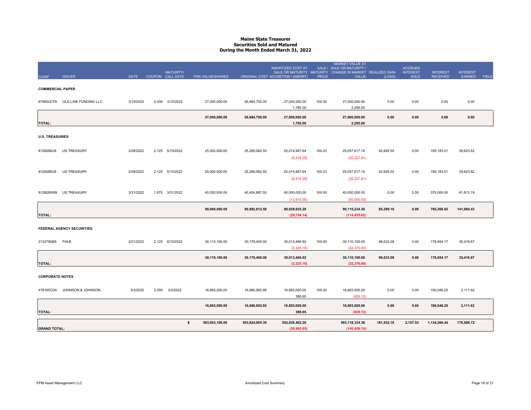#### **Maine State Treasurer Securities Sold and MaturedDuring the Month Ended March 31, 2022**

|                         |                                  |             | <b>MATURITY/</b> |                      |                | AMORTIZED COST AT<br>SALE OR MATURITY MATURITY |              | <b>MARKET VALUE AT</b><br>SALE / SALE OR MATURITY /<br>CHANGE IN MARKET REALIZED GAIN |            | <b>ACCRUED</b><br><b>INTEREST</b> | <b>INTEREST</b> | <b>INTEREST</b> |       |
|-------------------------|----------------------------------|-------------|------------------|----------------------|----------------|------------------------------------------------|--------------|---------------------------------------------------------------------------------------|------------|-----------------------------------|-----------------|-----------------|-------|
| <b>CUSIP</b>            | <b>ISSUER</b>                    | <b>DATE</b> | COUPON CALL DATE | PAR VALUE/SHARES     |                | ORIGINAL COST ACCRETION / (AMORT)              | <b>PRICE</b> | <b>VALUE</b>                                                                          | (LOSS)     | <b>SOLD</b>                       | <b>RECEIVED</b> | EARNED          | YIELD |
| <b>COMMERCIAL PAPER</b> |                                  |             |                  |                      |                |                                                |              |                                                                                       |            |                                   |                 |                 |       |
|                         | 67983UCF8 OLD LINE FUNDING LLC   | 3/15/2022   | 0.000 3/15/2022  | 27,000,000.00        | 26,984,700.00  | 27,000,000.00<br>1,785.00                      | 100.00       | 27,000,000.00<br>2,295.00                                                             | 0.00       | 0.00                              | 0.00            | 0.00            |       |
| <b>TOTAL:</b>           |                                  |             |                  | 27,000,000.00        | 26,984,700.00  | 27,000,000.00<br>1,785.00                      |              | 27,000,000.00<br>2,295.00                                                             | 0.00       | 0.00                              | 0.00            | 0.00            |       |
| <b>U.S. TREASURIES</b>  |                                  |             |                  |                      |                |                                                |              |                                                                                       |            |                                   |                 |                 |       |
|                         | 9128286U9 US TREASURY            | 3/28/2022   | 2.125 5/15/2022  | 25,000,000.00        | 25,289,062.50  | 25,014,967.64<br>(8,419.29)                    | 100.23       | 25,057,617.19<br>(32, 227.81)                                                         | 42,649.55  | 0.00                              | 195,183.01      | 39,623.62       |       |
|                         | 9128286U9 . US TREASURY          | 3/28/2022   | 2.125 5/15/2022  | 25,000,000.00        | 25,289,062.50  | 25,014,967.64<br>(8,419.29)                    | 100.23       | 25,057,617.19<br>(32, 227.81)                                                         | 42,649.55  | 0.00                              | 195,183.01      | 39,623.62       |       |
|                         | 912828W89 US TREASURY            | 3/31/2022   | 1.875 3/31/2022  | 40,000,000.00        | 40,404,687.50  | 40,000,000.00<br>(12, 915.56)                  | 100.00       | 40,000,000.00<br>(50,000.00)                                                          | 0.00       | 0.00                              | 375,000.00      | 61,813.19       |       |
| <b>TOTAL:</b>           |                                  |             |                  | 90,000,000.00        | 90,982,812.50  | 90,029,935.28<br>(29, 754.14)                  |              | 90,115,234.38<br>(114, 455.62)                                                        | 85,299.10  | 0.00                              | 765,366.02      | 141,060.43      |       |
|                         | <b>FEDERAL AGENCY SECURITIES</b> |             |                  |                      |                |                                                |              |                                                                                       |            |                                   |                 |                 |       |
| 313379Q69 FHLB          |                                  | 3/21/2022   | 2.125 6/10/2022  | 30,110,100.00        | 30,176,400.00  | 30,013,466.92<br>(3,325.16)                    | 100.00       | 30,110,100.00<br>(32, 370.00)                                                         | 96,633.08  | 0.00                              | 178,854.17      | 35,416.67       |       |
| <b>TOTAL:</b>           |                                  |             |                  | 30,110,100.00        | 30,176,400.00  | 30,013,466.92<br>(3,325.16)                    |              | 30,110,100.00<br>(32, 370.00)                                                         | 96,633.08  | 0.00                              | 178,854.17      | 35,416.67       |       |
| <b>CORPORATE NOTES</b>  |                                  |             |                  |                      |                |                                                |              |                                                                                       |            |                                   |                 |                 |       |
|                         | 478160CD4 JOHNSON & JOHNSON      | 3/3/2022    | 2.250 3/3/2022   | 16,893,000.00        | 16,680,992.85  | 16,893,000.00<br>388.65                        | 100.00       | 16,893,000.00<br>(929.12)                                                             | 0.00       | 0.00                              | 190,046.25      | 2,111.62        |       |
| TOTAL:                  |                                  |             |                  | 16,893,000.00        | 16,680,992.85  | 16,893,000.00<br>388.65                        |              | 16,893,000.00<br>(929.12)                                                             | 0.00       | 0.00                              | 190,046.25      | 2,111.62        |       |
| <b>GRAND TOTAL:</b>     |                                  |             |                  | \$<br>593,003,100.00 | 593,824,905.35 | 592,936,402.20<br>(30, 905.65)                 |              | 593,118,334.38<br>(145, 459.74)                                                       | 181,932.18 | 2,157.53                          | 1,134,266.44    | 178,588.72      |       |
|                         |                                  |             |                  |                      |                |                                                |              |                                                                                       |            |                                   |                 |                 |       |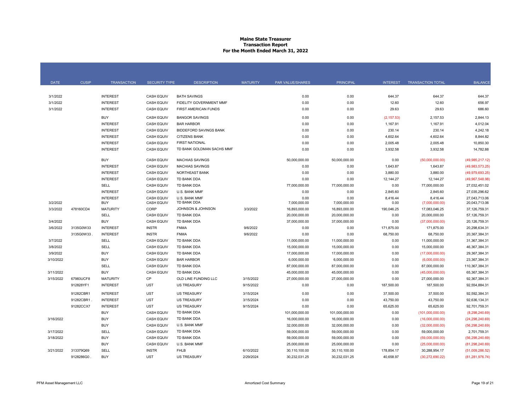### **Maine State Treasurer Transaction Report For the Month Ended March 31, 2022**

| <b>DATE</b> | <b>CUSIP</b>           | <b>TRANSACTION</b>                 | <b>SECURITY TYPE</b>         | <b>DESCRIPTION</b>               | <b>MATURITY</b>      | <b>PAR VALUE/SHARES</b>        | <b>PRINCIPAL</b>               | <b>INTEREST</b>    | <b>TRANSACTION TOTAL</b>        | <b>BALANCE</b>                   |
|-------------|------------------------|------------------------------------|------------------------------|----------------------------------|----------------------|--------------------------------|--------------------------------|--------------------|---------------------------------|----------------------------------|
|             |                        |                                    |                              |                                  |                      |                                |                                |                    |                                 |                                  |
| 3/1/2022    |                        | <b>INTEREST</b>                    | <b>CASH EQUIV</b>            | <b>BATH SAVINGS</b>              |                      | 0.00                           | 0.00                           | 644.37             | 644.37                          | 644.37                           |
| 3/1/2022    |                        | <b>INTEREST</b>                    | <b>CASH EQUIV</b>            | FIDELITY GOVERNMENT MMF          |                      | 0.00                           | 0.00                           | 12.60              | 12.60                           | 656.97                           |
| 3/1/2022    |                        | <b>INTEREST</b>                    | <b>CASH EQUIV</b>            | FIRST AMERICAN FUNDS             |                      | 0.00                           | 0.00                           | 29.63              | 29.63                           | 686.60                           |
|             |                        | <b>BUY</b>                         | <b>CASH EQUIV</b>            | <b>BANGOR SAVINGS</b>            |                      | 0.00                           | 0.00                           | (2, 157.53)        | 2,157.53                        | 2,844.13                         |
|             |                        | <b>INTEREST</b>                    | <b>CASH EQUIV</b>            | <b>BAR HARBOR</b>                |                      | 0.00                           | 0.00                           | 1,167.91           | 1,167.91                        | 4,012.04                         |
|             |                        | <b>INTEREST</b>                    | <b>CASH EQUIV</b>            | <b>BIDDEFORD SAVINGS BANK</b>    |                      | 0.00                           | 0.00                           | 230.14             | 230.14                          | 4,242.18                         |
|             |                        | <b>INTEREST</b>                    | <b>CASH EQUIV</b>            | <b>CITIZENS BANK</b>             |                      | 0.00                           | 0.00                           | 4,602.64           | 4,602.64                        | 8,844.82                         |
|             |                        | <b>INTEREST</b>                    | <b>CASH EQUIV</b>            | <b>FIRST NATIONAL</b>            |                      | 0.00                           | 0.00                           | 2,005.48           | 2,005.48                        | 10,850.30                        |
|             |                        | <b>INTEREST</b>                    | <b>CASH EQUIV</b>            | TD BANK GOLDMAN SACHS MMF        |                      | 0.00                           | 0.00                           | 3,932.58           | 3.932.58                        | 14,782.88                        |
|             |                        |                                    |                              |                                  |                      |                                |                                |                    |                                 |                                  |
|             |                        | <b>BUY</b>                         | <b>CASH EQUIV</b>            | <b>MACHIAS SAVINGS</b>           |                      | 50,000,000.00                  | 50,000,000.00                  | 0.00               | (50,000,000.00)                 | (49,985,217.12)                  |
|             |                        | <b>INTEREST</b>                    | <b>CASH EQUIV</b>            | <b>MACHIAS SAVINGS</b>           |                      | 0.00                           | 0.00                           | 1,643.87           | 1,643.87                        | (49,983,573.25)                  |
|             |                        | <b>INTEREST</b>                    | <b>CASH EQUIV</b>            | <b>NORTHEAST BANK</b>            |                      | 0.00                           | 0.00                           | 3,880.00           | 3,880.00                        | (49,979,693.25)                  |
|             |                        | <b>INTEREST</b>                    | <b>CASH EQUIV</b>            | TD BANK DDA                      |                      | 0.00                           | 0.00                           | 12,144.27          | 12,144.27                       | (49,967,548.98)                  |
|             |                        | <b>SELL</b>                        | <b>CASH EQUIV</b>            | TD BANK DDA                      |                      | 77,000,000.00                  | 77,000,000.00                  | 0.00               | 77,000,000.00                   | 27,032,451.02                    |
|             |                        | <b>INTEREST</b>                    | <b>CASH EQUIV</b>            | U.S. BANK MMF                    |                      | 0.00                           | 0.00                           | 2,845.60           | 2,845.60                        | 27,035,296.62                    |
|             |                        | <b>INTEREST</b>                    | <b>CASH EQUIV</b>            | U.S. BANK MMF                    |                      | 0.00                           | 0.00                           | 8,416.44           | 8,416.44                        | 27.043.713.06                    |
| 3/2/2022    |                        | <b>BUY</b><br><b>MATURITY</b>      | <b>CASH EQUIV</b><br>CORP    | TD BANK DDA<br>JOHNSON & JOHNSON |                      | 7,000,000.00                   | 7,000,000.00                   | 0.00               | (7,000,000.00)                  | 20,043,713.06                    |
| 3/3/2022    | 478160CD4              | SELL                               | <b>CASH EQUIV</b>            | TD BANK DDA                      | 3/3/2022             | 16,893,000.00<br>20,000,000.00 | 16,893,000.00<br>20,000,000.00 | 190,046.25<br>0.00 | 17,083,046.25<br>20,000,000.00  | 37, 126, 759.31<br>57,126,759.31 |
| 3/4/2022    |                        | <b>BUY</b>                         | <b>CASH EQUIV</b>            | TD BANK DDA                      |                      | 37,000,000.00                  | 37,000,000.00                  | 0.00               |                                 |                                  |
|             |                        |                                    |                              | <b>FNMA</b>                      |                      |                                |                                |                    | (37,000,000.00)                 | 20,126,759.31                    |
| 3/6/2022    | 3135G0W33<br>3135G0W33 | <b>INTEREST</b><br><b>INTEREST</b> | <b>INSTR</b><br><b>INSTR</b> | <b>FNMA</b>                      | 9/6/2022<br>9/6/2022 | 0.00                           | 0.00<br>0.00                   | 171,875.00         | 171,875.00                      | 20,298,634.31<br>20,367,384.31   |
| 3/7/2022    |                        | SELL                               | <b>CASH EQUIV</b>            | TD BANK DDA                      |                      | 0.00                           |                                | 68,750.00          | 68,750.00                       | 31,367,384.31                    |
| 3/8/2022    |                        | SELL                               | <b>CASH EQUIV</b>            | TD BANK DDA                      |                      | 11,000,000.00<br>15,000,000.00 | 11,000,000.00<br>15,000,000.00 | 0.00<br>0.00       | 11,000,000.00<br>15,000,000.00  | 46,367,384.31                    |
| 3/9/2022    |                        | <b>BUY</b>                         | <b>CASH EQUIV</b>            | TD BANK DDA                      |                      | 17.000.000.00                  | 17.000.000.00                  | 0.00               |                                 | 29.367.384.31                    |
| 3/10/2022   |                        | <b>BUY</b>                         | <b>CASH EQUIV</b>            | <b>BAR HARBOR</b>                |                      | 6,000,000.00                   | 6,000,000.00                   | 0.00               | (17,000,000.00)                 | 23,367,384.31                    |
|             |                        | <b>SELL</b>                        | <b>CASH EQUIV</b>            | TD BANK DDA                      |                      | 87,000,000.00                  | 87,000,000.00                  | 0.00               | (6,000,000.00)<br>87,000,000.00 | 110,367,384.31                   |
| 3/11/2022   |                        | <b>BUY</b>                         | <b>CASH EQUIV</b>            | TD BANK DDA                      |                      | 45,000,000.00                  | 45,000,000.00                  | 0.00               | (45,000,000.00)                 | 65,367,384.31                    |
| 3/15/2022   | 67983UCF8              | <b>MATURITY</b>                    | <b>CP</b>                    | OLD LINE FUNDING LLC             | 3/15/2022            | 27,000,000.00                  | 27,000,000.00                  | 0.00               | 27,000,000.00                   | 92.367.384.31                    |
|             | 912828YF1              | <b>INTEREST</b>                    | UST                          | <b>US TREASURY</b>               | 9/15/2022            | 0.00                           | 0.00                           | 187,500.00         | 187,500.00                      | 92,554,884.31                    |
|             |                        |                                    |                              |                                  |                      |                                |                                |                    |                                 |                                  |
|             | 91282CBR1              | <b>INTEREST</b>                    | <b>UST</b>                   | <b>US TREASURY</b>               | 3/15/2024            | 0.00                           | 0.00                           | 37,500.00          | 37,500.00                       | 92.592.384.31                    |
|             | 91282CBR1              | <b>INTEREST</b>                    | <b>UST</b>                   | <b>US TREASURY</b>               | 3/15/2024            | 0.00                           | 0.00                           | 43,750.00          | 43,750.00                       | 92,636,134.31                    |
|             | 91282CCX7              | <b>INTEREST</b>                    | <b>UST</b>                   | <b>US TREASURY</b>               | 9/15/2024            | 0.00                           | 0.00                           | 65,625.00          | 65,625.00                       | 92.701.759.31                    |
|             |                        | <b>BUY</b>                         | <b>CASH EQUIV</b>            | TD BANK DDA                      |                      | 101,000,000.00                 | 101,000,000.00                 | 0.00               | (101,000,000.00)                | (8,298,240.69)                   |
| 3/16/2022   |                        | <b>BUY</b>                         | <b>CASH EQUIV</b>            | TD BANK DDA                      |                      | 16,000,000.00                  | 16,000,000.00                  | 0.00               | (16,000,000.00)                 | (24, 298, 240.69)                |
|             |                        | <b>BUY</b>                         | <b>CASH EQUIV</b>            | U.S. BANK MMF                    |                      | 32,000,000.00                  | 32,000,000.00                  | 0.00               | (32,000,000.00)                 | (56, 298, 240.69)                |
| 3/17/2022   |                        | SELL                               | <b>CASH EQUIV</b>            | TD BANK DDA                      |                      | 59,000,000.00                  | 59,000,000.00                  | 0.00               | 59,000,000.00                   | 2,701,759.31                     |
| 3/18/2022   |                        | <b>BUY</b>                         | <b>CASH EQUIV</b>            | TD BANK DDA                      |                      | 59,000,000.00                  | 59,000,000.00                  | 0.00               | (59,000,000.00)                 | (56, 298, 240.69)                |
|             |                        | <b>BUY</b>                         | <b>CASH EQUIV</b>            | U.S. BANK MMF                    |                      | 25,000,000.00                  | 25,000,000.00                  | 0.00               | (25,000,000.00)                 | (81, 298, 240.69)                |
| 3/21/2022   | 313379Q69              | SELL                               | <b>INSTR</b>                 | <b>FHLB</b>                      | 6/10/2022            | 30,110,100.00                  | 30,110,100.00                  | 178.854.17         | 30.288.954.17                   | (51,009,286.52)                  |
|             | 9128286G0              | <b>BUY</b>                         | <b>UST</b>                   | <b>US TREASURY</b>               | 2/29/2024            | 30,232,031.25                  | 30,232,031.25                  | 40,658.97          | (30, 272, 690.22)               | (81, 281, 976.74)                |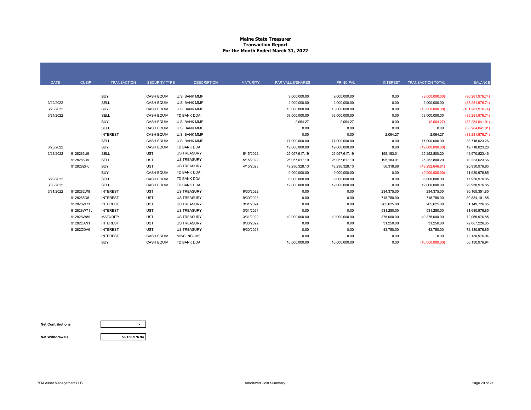### **Maine State Treasurer Transaction Report For the Month Ended March 31, 2022**

| <b>DATE</b> | <b>CUSIP</b> | <b>TRANSACTION</b> | <b>SECURITY TYPE</b> | <b>DESCRIPTION</b> | <b>MATURITY</b> | PAR VALUE/SHARES | <b>PRINCIPAL</b> | <b>INTEREST</b> | <b>TRANSACTION TOTAL</b> | <b>BALANCE</b>     |
|-------------|--------------|--------------------|----------------------|--------------------|-----------------|------------------|------------------|-----------------|--------------------------|--------------------|
|             |              |                    |                      |                    |                 |                  |                  |                 |                          |                    |
|             |              | <b>BUY</b>         | <b>CASH EQUIV</b>    | U.S. BANK MMF      |                 | 9,000,000.00     | 9,000,000.00     | 0.00            | (9,000,000.00)           | (90, 281, 976.74)  |
| 3/22/2022   |              | <b>SELL</b>        | <b>CASH EQUIV</b>    | U.S. BANK MMF      |                 | 2,000,000.00     | 2,000,000.00     | 0.00            | 2,000,000.00             | (88, 281, 976.74)  |
| 3/23/2022   |              | <b>BUY</b>         | <b>CASH EQUIV</b>    | U.S. BANK MMF      |                 | 13,000,000.00    | 13,000,000.00    | 0.00            | (13,000,000.00)          | (101, 281, 976.74) |
| 3/24/2022   |              | SELL               | <b>CASH EQUIV</b>    | TD BANK DDA        |                 | 63,000,000.00    | 63,000,000.00    | 0.00            | 63,000,000.00            | (38, 281, 976.74)  |
|             |              | <b>BUY</b>         | <b>CASH EQUIV</b>    | U.S. BANK MMF      |                 | 2,064.27         | 2,064.27         | 0.00            | (2,064.27)               | (38, 284, 041.01)  |
|             |              | <b>SELL</b>        | <b>CASH EQUIV</b>    | U.S. BANK MMF      |                 | 0.00             | 0.00             | 0.00            | 0.00                     | (38, 284, 041.01)  |
|             |              | <b>INTEREST</b>    | <b>CASH EQUIV</b>    | U.S. BANK MMF      |                 | 0.00             | 0.00             | 2,064.27        | 2,064.27                 | (38, 281, 976.74)  |
|             |              | SELL               | <b>CASH EQUIV</b>    | U.S. BANK MMF      |                 | 77,000,000.00    | 77,000,000.00    | 0.00            | 77,000,000.00            | 38,718,023.26      |
| 3/25/2022   |              | <b>BUY</b>         | <b>CASH EQUIV</b>    | TD BANK DDA        |                 | 19.000.000.00    | 19,000,000.00    | 0.00            | (19,000,000.00)          | 19,718,023.26      |
| 3/28/2022   | 9128286U9    | <b>SELL</b>        | <b>UST</b>           | <b>US TREASURY</b> | 5/15/2022       | 25,057,617.19    | 25,057,617.19    | 195,183.01      | 25,252,800.20            | 44,970,823.46      |
|             | 9128286U9    | SELL               | <b>UST</b>           | <b>US TREASURY</b> | 5/15/2022       | 25,057,617.19    | 25,057,617.19    | 195,183.01      | 25,252,800.20            | 70,223,623.66      |
|             | 912828ZH6    | <b>BUY</b>         | <b>UST</b>           | <b>US TREASURY</b> | 4/15/2023       | 49,236,328.13    | 49,236,328.13    | 56,318.68       | (49, 292, 646.81)        | 20,930,976.85      |
|             |              | <b>BUY</b>         | <b>CASH EQUIV</b>    | TD BANK DDA        |                 | 9,000,000.00     | 9,000,000.00     | 0.00            | (9,000,000.00)           | 11,930,976.85      |
| 3/29/2022   |              | SELL               | <b>CASH EQUIV</b>    | TD BANK DDA        |                 | 6,000,000.00     | 6,000,000.00     | 0.00            | 6,000,000.00             | 17,930,976.85      |
| 3/30/2022   |              | SELL               | <b>CASH EQUIV</b>    | TD BANK DDA        |                 | 12,000,000.00    | 12,000,000.00    | 0.00            | 12.000.000.00            | 29,930,976.85      |
| 3/31/2022   | 9128282W9    | <b>INTEREST</b>    | <b>UST</b>           | <b>US TREASURY</b> | 9/30/2022       | 0.00             | 0.00             | 234,375.00      | 234,375.00               | 30, 165, 351.85    |
|             | 9128285D8    | <b>INTEREST</b>    | <b>UST</b>           | <b>US TREASURY</b> | 9/30/2023       | 0.00             | 0.00             | 718,750.00      | 718,750.00               | 30,884,101.85      |
|             | 912828W71    | <b>INTEREST</b>    | <b>UST</b>           | <b>US TREASURY</b> | 3/31/2024       | 0.00             | 0.00             | 265,625.00      | 265,625.00               | 31,149,726.85      |
|             | 912828W71.   | <b>INTEREST</b>    | <b>UST</b>           | <b>US TREASURY</b> | 3/31/2024       | 0.00             | 0.00             | 531,250.00      | 531,250.00               | 31,680,976.85      |
|             | 912828W89    | <b>MATURITY</b>    | <b>UST</b>           | <b>US TREASURY</b> | 3/31/2022       | 40,000,000.00    | 40,000,000.00    | 375,000.00      | 40,375,000.00            | 72,055,976.85      |
|             | 91282CAN1    | <b>INTEREST</b>    | <b>UST</b>           | <b>US TREASURY</b> | 9/30/2022       | 0.00             | 0.00             | 31,250.00       | 31,250.00                | 72,087,226.85      |
|             | 91282CDA6    | <b>INTEREST</b>    | <b>UST</b>           | <b>US TREASURY</b> | 9/30/2023       | 0.00             | 0.00             | 43,750.00       | 43,750.00                | 72,130,976.85      |
|             |              | <b>INTEREST</b>    | <b>CASH EQUIV</b>    | MISC INCOME        |                 | 0.00             | 0.00             | 0.09            | 0.09                     | 72,130,976.94      |
|             |              | <b>BUY</b>         | <b>CASH EQUIV</b>    | TD BANK DDA        |                 | 16,000,000.00    | 16,000,000.00    | 0.00            | (16,000,000.00)          | 56,130,976.94      |

**Net Contributions**

**Net Withdrawals**

**56,130,976.94**

**-**